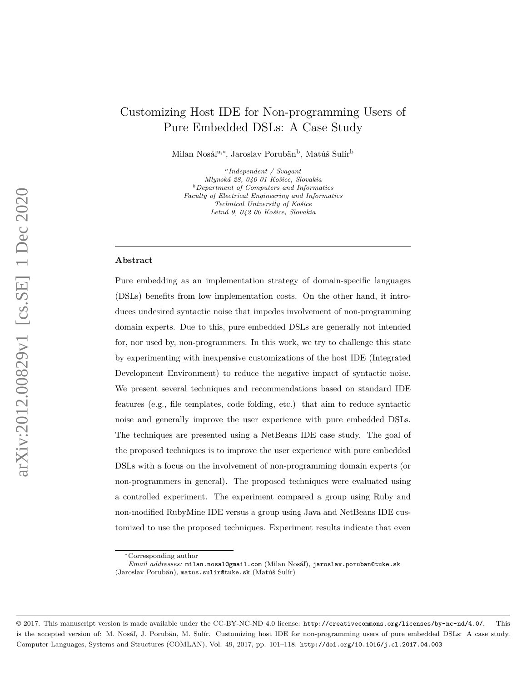# Customizing Host IDE for Non-programming Users of Pure Embedded DSLs: A Case Study

Milan Nosáľ<sup>a,∗</sup>, Jaroslav Porubän<sup>b</sup>, Matúš Sulír<sup>b</sup>

*a Independent / Svagant Mlynská 28, 040 01 Košice, Slovakia <sup>b</sup>Department of Computers and Informatics Faculty of Electrical Engineering and Informatics Technical University of Košice Letná 9, 042 00 Košice, Slovakia*

#### **Abstract**

Pure embedding as an implementation strategy of domain-specific languages (DSLs) benefits from low implementation costs. On the other hand, it introduces undesired syntactic noise that impedes involvement of non-programming domain experts. Due to this, pure embedded DSLs are generally not intended for, nor used by, non-programmers. In this work, we try to challenge this state by experimenting with inexpensive customizations of the host IDE (Integrated Development Environment) to reduce the negative impact of syntactic noise. We present several techniques and recommendations based on standard IDE features (e.g., file templates, code folding, etc.) that aim to reduce syntactic noise and generally improve the user experience with pure embedded DSLs. The techniques are presented using a NetBeans IDE case study. The goal of the proposed techniques is to improve the user experience with pure embedded DSLs with a focus on the involvement of non-programming domain experts (or non-programmers in general). The proposed techniques were evaluated using a controlled experiment. The experiment compared a group using Ruby and non-modified RubyMine IDE versus a group using Java and NetBeans IDE customized to use the proposed techniques. Experiment results indicate that even

<sup>∗</sup>Corresponding author

*Email addresses:* milan.nosal@gmail.com (Milan Nosáľ), jaroslav.poruban@tuke.sk (Jaroslav Porubän), matus.sulir@tuke.sk (Matúš Sulír)

<sup>©</sup> 2017. This manuscript version is made available under the CC-BY-NC-ND 4.0 license: <http://creativecommons.org/licenses/by-nc-nd/4.0/>. This is the accepted version of: M. Nosáľ, J. Porubän, M. Sulír. Customizing host IDE for non-programming users of pure embedded DSLs: A case study. Computer Languages, Systems and Structures (COMLAN), Vol. 49, 2017, pp. 101–118. <http://doi.org/10.1016/j.cl.2017.04.003>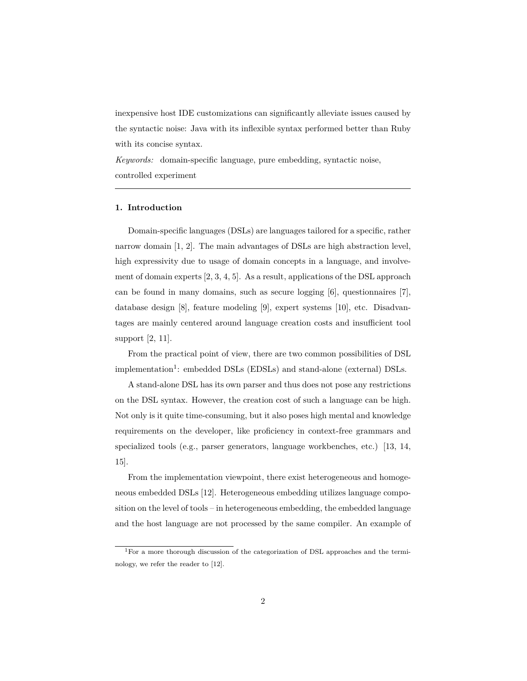inexpensive host IDE customizations can significantly alleviate issues caused by the syntactic noise: Java with its inflexible syntax performed better than Ruby with its concise syntax.

*Keywords:* domain-specific language, pure embedding, syntactic noise, controlled experiment

## <span id="page-1-1"></span>**1. Introduction**

Domain-specific languages (DSLs) are languages tailored for a specific, rather narrow domain [\[1,](#page-37-0) [2\]](#page-37-1). The main advantages of DSLs are high abstraction level, high expressivity due to usage of domain concepts in a language, and involvement of domain experts [\[2,](#page-37-1) [3,](#page-37-2) [4,](#page-37-3) [5\]](#page-37-4). As a result, applications of the DSL approach can be found in many domains, such as secure logging [\[6\]](#page-38-0), questionnaires [\[7\]](#page-38-1), database design [\[8\]](#page-38-2), feature modeling [\[9\]](#page-38-3), expert systems [\[10\]](#page-38-4), etc. Disadvantages are mainly centered around language creation costs and insufficient tool support [\[2,](#page-37-1) [11\]](#page-38-5).

From the practical point of view, there are two common possibilities of DSL implementation<sup>[1](#page-1-0)</sup>: embedded DSLs (EDSLs) and stand-alone (external) DSLs.

A stand-alone DSL has its own parser and thus does not pose any restrictions on the DSL syntax. However, the creation cost of such a language can be high. Not only is it quite time-consuming, but it also poses high mental and knowledge requirements on the developer, like proficiency in context-free grammars and specialized tools (e.g., parser generators, language workbenches, etc.) [\[13,](#page-38-6) [14,](#page-38-7) [15\]](#page-38-8).

From the implementation viewpoint, there exist heterogeneous and homogeneous embedded DSLs [\[12\]](#page-38-9). Heterogeneous embedding utilizes language composition on the level of tools – in heterogeneous embedding, the embedded language and the host language are not processed by the same compiler. An example of

<span id="page-1-0"></span><sup>1</sup>For a more thorough discussion of the categorization of DSL approaches and the terminology, we refer the reader to [\[12\]](#page-38-9).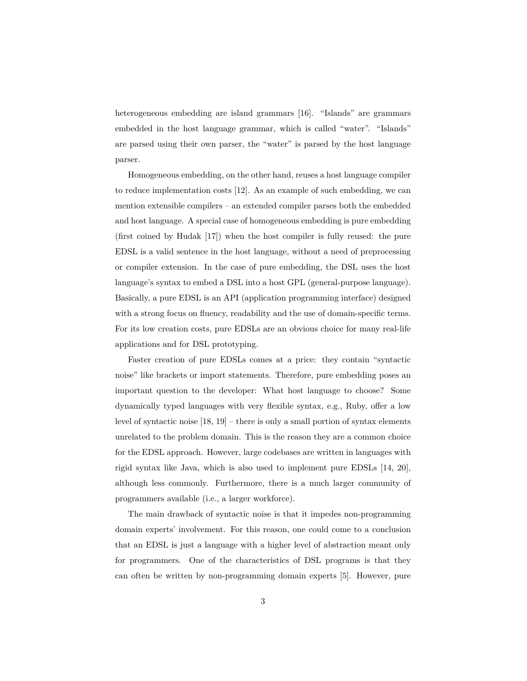heterogeneous embedding are island grammars [\[16\]](#page-39-0). "Islands" are grammars embedded in the host language grammar, which is called "water". "Islands" are parsed using their own parser, the "water" is parsed by the host language parser.

Homogeneous embedding, on the other hand, reuses a host language compiler to reduce implementation costs [\[12\]](#page-38-9). As an example of such embedding, we can mention extensible compilers – an extended compiler parses both the embedded and host language. A special case of homogeneous embedding is pure embedding (first coined by Hudak [\[17\]](#page-39-1)) when the host compiler is fully reused: the pure EDSL is a valid sentence in the host language, without a need of preprocessing or compiler extension. In the case of pure embedding, the DSL uses the host language's syntax to embed a DSL into a host GPL (general-purpose language). Basically, a pure EDSL is an API (application programming interface) designed with a strong focus on fluency, readability and the use of domain-specific terms. For its low creation costs, pure EDSLs are an obvious choice for many real-life applications and for DSL prototyping.

Faster creation of pure EDSLs comes at a price: they contain "syntactic noise" like brackets or import statements. Therefore, pure embedding poses an important question to the developer: What host language to choose? Some dynamically typed languages with very flexible syntax, e.g., Ruby, offer a low level of syntactic noise  $[18, 19]$  $[18, 19]$  – there is only a small portion of syntax elements unrelated to the problem domain. This is the reason they are a common choice for the EDSL approach. However, large codebases are written in languages with rigid syntax like Java, which is also used to implement pure EDSLs [\[14,](#page-38-7) [20\]](#page-39-4), although less commonly. Furthermore, there is a much larger community of programmers available (i.e., a larger workforce).

The main drawback of syntactic noise is that it impedes non-programming domain experts' involvement. For this reason, one could come to a conclusion that an EDSL is just a language with a higher level of abstraction meant only for programmers. One of the characteristics of DSL programs is that they can often be written by non-programming domain experts [\[5\]](#page-37-4). However, pure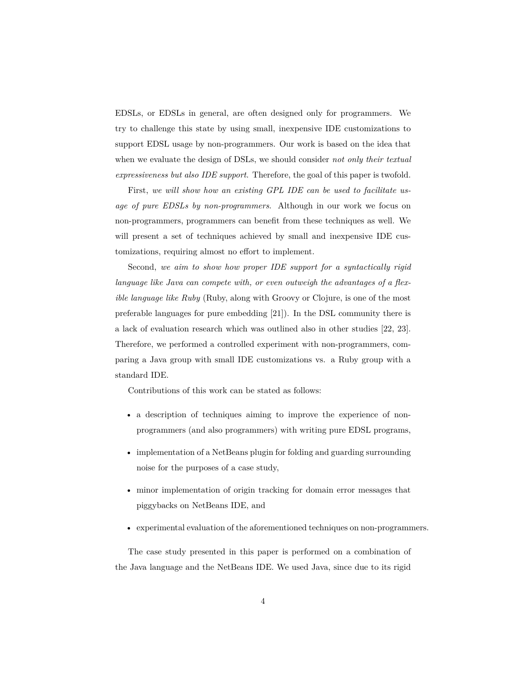EDSLs, or EDSLs in general, are often designed only for programmers. We try to challenge this state by using small, inexpensive IDE customizations to support EDSL usage by non-programmers. Our work is based on the idea that when we evaluate the design of DSLs, we should consider *not only their textual expressiveness but also IDE support*. Therefore, the goal of this paper is twofold.

First, *we will show how an existing GPL IDE can be used to facilitate usage of pure EDSLs by non-programmers*. Although in our work we focus on non-programmers, programmers can benefit from these techniques as well. We will present a set of techniques achieved by small and inexpensive IDE customizations, requiring almost no effort to implement.

Second, *we aim to show how proper IDE support for a syntactically rigid language like Java can compete with, or even outweigh the advantages of a flexible language like Ruby* (Ruby, along with Groovy or Clojure, is one of the most preferable languages for pure embedding [\[21\]](#page-39-5)). In the DSL community there is a lack of evaluation research which was outlined also in other studies [\[22,](#page-39-6) [23\]](#page-39-7). Therefore, we performed a controlled experiment with non-programmers, comparing a Java group with small IDE customizations vs. a Ruby group with a standard IDE.

Contributions of this work can be stated as follows:

- a description of techniques aiming to improve the experience of nonprogrammers (and also programmers) with writing pure EDSL programs,
- implementation of a NetBeans plugin for folding and guarding surrounding noise for the purposes of a case study,
- minor implementation of origin tracking for domain error messages that piggybacks on NetBeans IDE, and
- experimental evaluation of the aforementioned techniques on non-programmers.

The case study presented in this paper is performed on a combination of the Java language and the NetBeans IDE. We used Java, since due to its rigid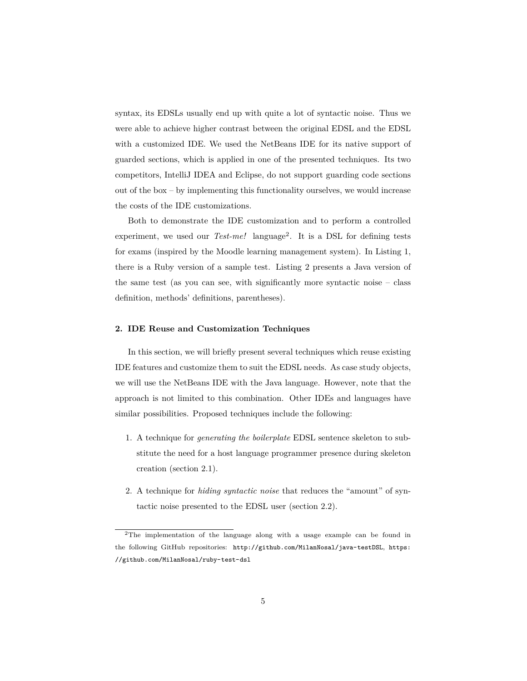syntax, its EDSLs usually end up with quite a lot of syntactic noise. Thus we were able to achieve higher contrast between the original EDSL and the EDSL with a customized IDE. We used the NetBeans IDE for its native support of guarded sections, which is applied in one of the presented techniques. Its two competitors, IntelliJ IDEA and Eclipse, do not support guarding code sections out of the  $box - by implementing this functionality ourselves, we would increase$ the costs of the IDE customizations.

Both to demonstrate the IDE customization and to perform a controlled experiment, we used our *Test-me!* language<sup>[2](#page-4-0)</sup>. It is a DSL for defining tests for exams (inspired by the Moodle learning management system). In Listing [1,](#page-5-0) there is a Ruby version of a sample test. Listing [2](#page-6-0) presents a Java version of the same test (as you can see, with significantly more syntactic noise – class definition, methods' definitions, parentheses).

## **2. IDE Reuse and Customization Techniques**

In this section, we will briefly present several techniques which reuse existing IDE features and customize them to suit the EDSL needs. As case study objects, we will use the NetBeans IDE with the Java language. However, note that the approach is not limited to this combination. Other IDEs and languages have similar possibilities. Proposed techniques include the following:

- 1. A technique for *generating the boilerplate* EDSL sentence skeleton to substitute the need for a host language programmer presence during skeleton creation (section [2.1\)](#page-7-0).
- 2. A technique for *hiding syntactic noise* that reduces the "amount" of syntactic noise presented to the EDSL user (section [2.2\)](#page-8-0).

<span id="page-4-0"></span><sup>&</sup>lt;sup>2</sup>The implementation of the language along with a usage example can be found in the following GitHub repositories: <http://github.com/MilanNosal/java-testDSL>, [https:](https://github.com/MilanNosal/ruby-test-dsl) [//github.com/MilanNosal/ruby-test-dsl](https://github.com/MilanNosal/ruby-test-dsl)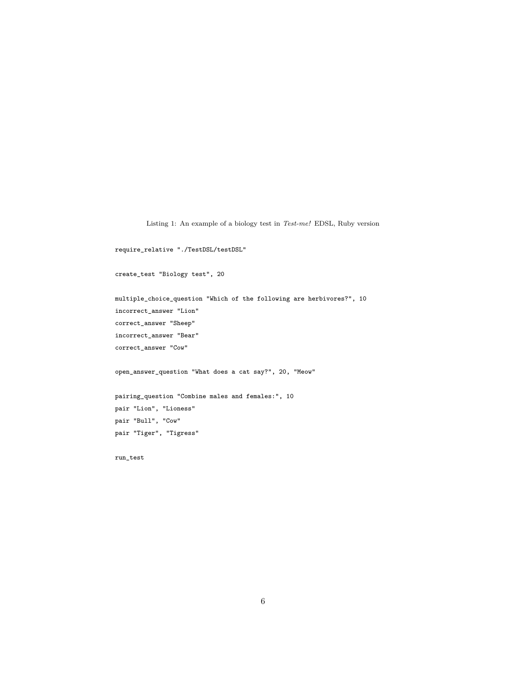<span id="page-5-0"></span>Listing 1: An example of a biology test in *Test-me!* EDSL, Ruby version

```
require_relative "./TestDSL/testDSL"
```

```
create_test "Biology test", 20
```
multiple\_choice\_question "Which of the following are herbivores?", 10 incorrect\_answer "Lion" correct\_answer "Sheep" incorrect\_answer "Bear" correct\_answer "Cow"

open\_answer\_question "What does a cat say?", 20, "Meow"

pairing\_question "Combine males and females:", 10 pair "Lion", "Lioness" pair "Bull", "Cow" pair "Tiger", "Tigress"

run\_test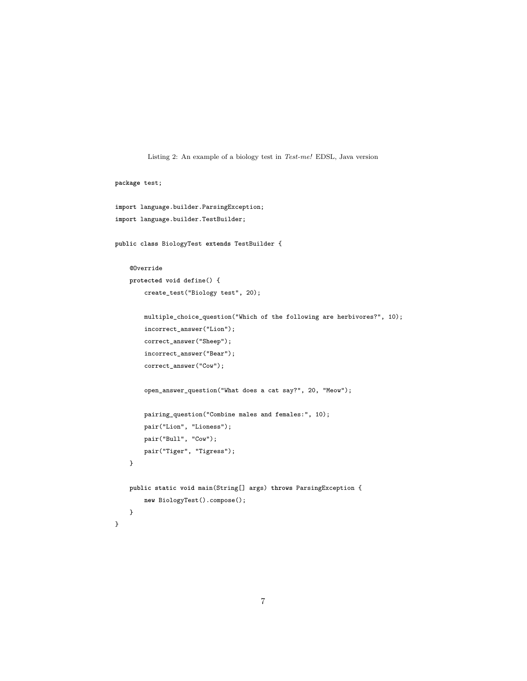<span id="page-6-0"></span>Listing 2: An example of a biology test in *Test-me!* EDSL, Java version

```
package test;
import language.builder.ParsingException;
import language.builder.TestBuilder;
public class BiologyTest extends TestBuilder {
    @Override
   protected void define() {
        create_test("Biology test", 20);
        multiple_choice_question("Which of the following are herbivores?", 10);
        incorrect_answer("Lion");
        correct_answer("Sheep");
        incorrect_answer("Bear");
        correct_answer("Cow");
        open_answer_question("What does a cat say?", 20, "Meow");
        pairing_question("Combine males and females:", 10);
        pair("Lion", "Lioness");
        pair("Bull", "Cow");
        pair("Tiger", "Tigress");
   }
   public static void main(String[] args) throws ParsingException {
        new BiologyTest().compose();
   }
}
```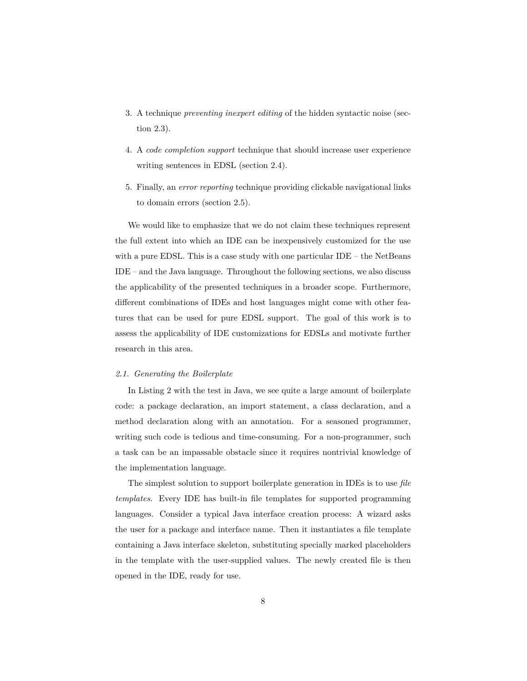- 3. A technique *preventing inexpert editing* of the hidden syntactic noise (section [2.3\)](#page-11-0).
- 4. A *code completion support* technique that should increase user experience writing sentences in EDSL (section [2.4\)](#page-12-0).
- 5. Finally, an *error reporting* technique providing clickable navigational links to domain errors (section [2.5\)](#page-15-0).

We would like to emphasize that we do not claim these techniques represent the full extent into which an IDE can be inexpensively customized for the use with a pure EDSL. This is a case study with one particular  $IDE$  – the NetBeans IDE – and the Java language. Throughout the following sections, we also discuss the applicability of the presented techniques in a broader scope. Furthermore, different combinations of IDEs and host languages might come with other features that can be used for pure EDSL support. The goal of this work is to assess the applicability of IDE customizations for EDSLs and motivate further research in this area.

## <span id="page-7-0"></span>*2.1. Generating the Boilerplate*

In Listing [2](#page-6-0) with the test in Java, we see quite a large amount of boilerplate code: a package declaration, an import statement, a class declaration, and a method declaration along with an annotation. For a seasoned programmer, writing such code is tedious and time-consuming. For a non-programmer, such a task can be an impassable obstacle since it requires nontrivial knowledge of the implementation language.

The simplest solution to support boilerplate generation in IDEs is to use *file templates*. Every IDE has built-in file templates for supported programming languages. Consider a typical Java interface creation process: A wizard asks the user for a package and interface name. Then it instantiates a file template containing a Java interface skeleton, substituting specially marked placeholders in the template with the user-supplied values. The newly created file is then opened in the IDE, ready for use.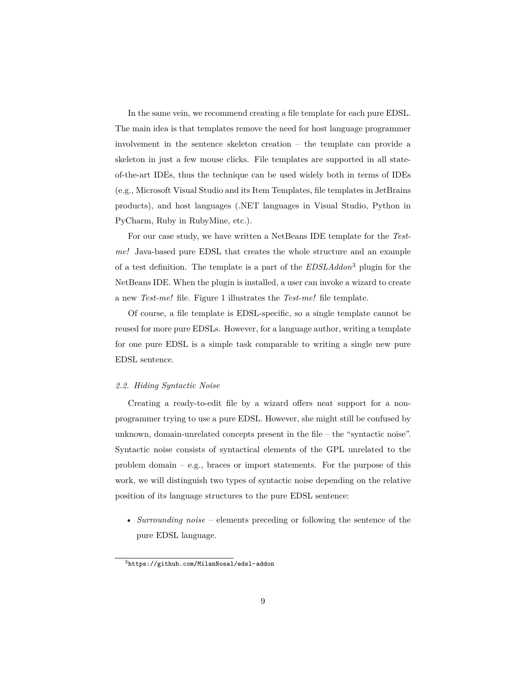In the same vein, we recommend creating a file template for each pure EDSL. The main idea is that templates remove the need for host language programmer involvement in the sentence skeleton creation – the template can provide a skeleton in just a few mouse clicks. File templates are supported in all stateof-the-art IDEs, thus the technique can be used widely both in terms of IDEs (e.g., Microsoft Visual Studio and its Item Templates, file templates in JetBrains products), and host languages (.NET languages in Visual Studio, Python in PyCharm, Ruby in RubyMine, etc.).

For our case study, we have written a NetBeans IDE template for the *Testme!* Java-based pure EDSL that creates the whole structure and an example of a test definition. The template is a part of the *EDSLAddon*[3](#page-8-1) plugin for the NetBeans IDE. When the plugin is installed, a user can invoke a wizard to create a new *Test-me!* file. Figure [1](#page-9-0) illustrates the *Test-me!* file template.

Of course, a file template is EDSL-specific, so a single template cannot be reused for more pure EDSLs. However, for a language author, writing a template for one pure EDSL is a simple task comparable to writing a single new pure EDSL sentence.

#### <span id="page-8-0"></span>*2.2. Hiding Syntactic Noise*

Creating a ready-to-edit file by a wizard offers neat support for a nonprogrammer trying to use a pure EDSL. However, she might still be confused by unknown, domain-unrelated concepts present in the file – the "syntactic noise". Syntactic noise consists of syntactical elements of the GPL unrelated to the problem domain – e.g., braces or import statements. For the purpose of this work, we will distinguish two types of syntactic noise depending on the relative position of its language structures to the pure EDSL sentence:

• *Surrounding noise* – elements preceding or following the sentence of the pure EDSL language.

<span id="page-8-1"></span><sup>3</sup><https://github.com/MilanNosal/edsl-addon>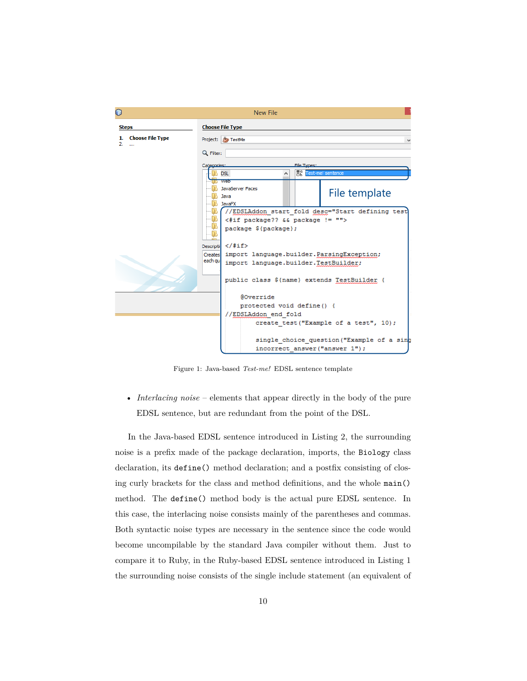<span id="page-9-0"></span>

Figure 1: Java-based *Test-me!* EDSL sentence template

• *Interlacing noise* – elements that appear directly in the body of the pure EDSL sentence, but are redundant from the point of the DSL.

In the Java-based EDSL sentence introduced in Listing [2,](#page-6-0) the surrounding noise is a prefix made of the package declaration, imports, the Biology class declaration, its define() method declaration; and a postfix consisting of closing curly brackets for the class and method definitions, and the whole main() method. The define() method body is the actual pure EDSL sentence. In this case, the interlacing noise consists mainly of the parentheses and commas. Both syntactic noise types are necessary in the sentence since the code would become uncompilable by the standard Java compiler without them. Just to compare it to Ruby, in the Ruby-based EDSL sentence introduced in Listing [1](#page-5-0) the surrounding noise consists of the single include statement (an equivalent of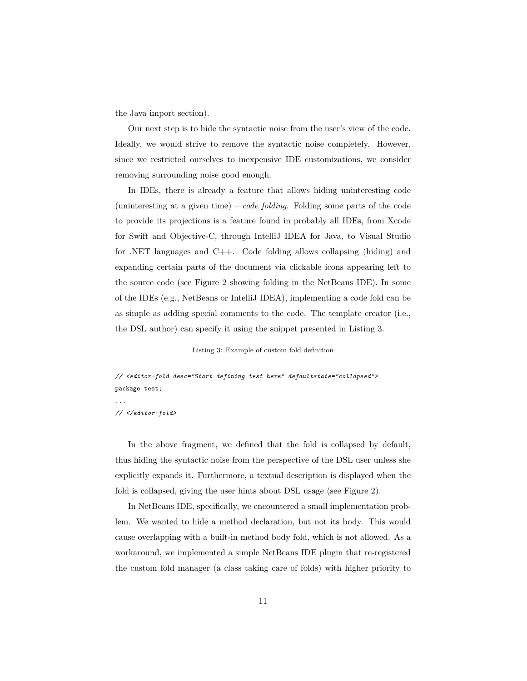the Java import section).

Our next step is to hide the syntactic noise from the user's view of the code. Ideally, we would strive to remove the syntactic noise completely. However, since we restricted ourselves to inexpensive IDE customizations, we consider removing surrounding noise good enough.

In IDEs, there is already a feature that allows hiding uninteresting code (uninteresting at a given time) – *code folding*. Folding some parts of the code to provide its projections is a feature found in probably all IDEs, from Xcode for Swift and Objective-C, through IntelliJ IDEA for Java, to Visual Studio for .NET languages and  $C++$ . Code folding allows collapsing (hiding) and expanding certain parts of the document via clickable icons appearing left to the source code (see Figure [2](#page-11-1) showing folding in the NetBeans IDE). In some of the IDEs (e.g., NetBeans or IntelliJ IDEA), implementing a code fold can be as simple as adding special comments to the code. The template creator (i.e., the DSL author) can specify it using the snippet presented in Listing [3.](#page-10-0)

Listing 3: Example of custom fold definition

<span id="page-10-0"></span>*// <editor-fold desc="Start defining test here" defaultstate="collapsed">* **package** test;

... *// </editor-fold>*

In the above fragment, we defined that the fold is collapsed by default, thus hiding the syntactic noise from the perspective of the DSL user unless she explicitly expands it. Furthermore, a textual description is displayed when the fold is collapsed, giving the user hints about DSL usage (see Figure [2\)](#page-11-1).

In NetBeans IDE, specifically, we encountered a small implementation problem. We wanted to hide a method declaration, but not its body. This would cause overlapping with a built-in method body fold, which is not allowed. As a workaround, we implemented a simple NetBeans IDE plugin that re-registered the custom fold manager (a class taking care of folds) with higher priority to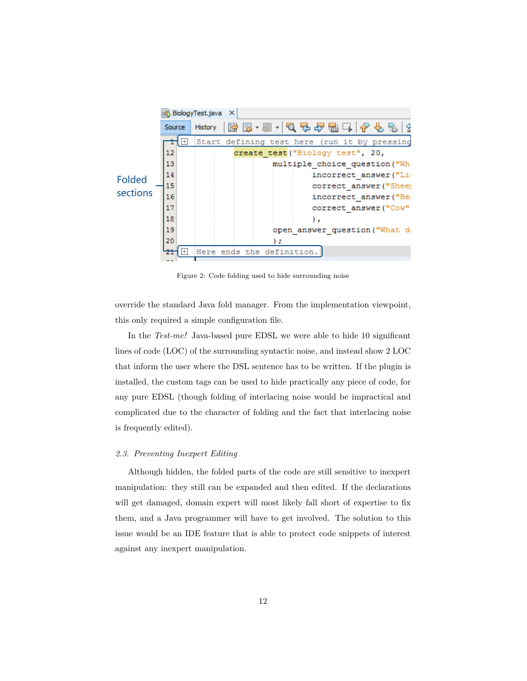<span id="page-11-1"></span>

Figure 2: Code folding used to hide surrounding noise

override the standard Java fold manager. From the implementation viewpoint, this only required a simple configuration file.

In the *Test-me!* Java-based pure EDSL we were able to hide 10 significant lines of code (LOC) of the surrounding syntactic noise, and instead show 2 LOC that inform the user where the DSL sentence has to be written. If the plugin is installed, the custom tags can be used to hide practically any piece of code, for any pure EDSL (though folding of interlacing noise would be impractical and complicated due to the character of folding and the fact that interlacing noise is frequently edited).

### <span id="page-11-0"></span>*2.3. Preventing Inexpert Editing*

Although hidden, the folded parts of the code are still sensitive to inexpert manipulation: they still can be expanded and then edited. If the declarations will get damaged, domain expert will most likely fall short of expertise to fix them, and a Java programmer will have to get involved. The solution to this issue would be an IDE feature that is able to protect code snippets of interest against any inexpert manipulation.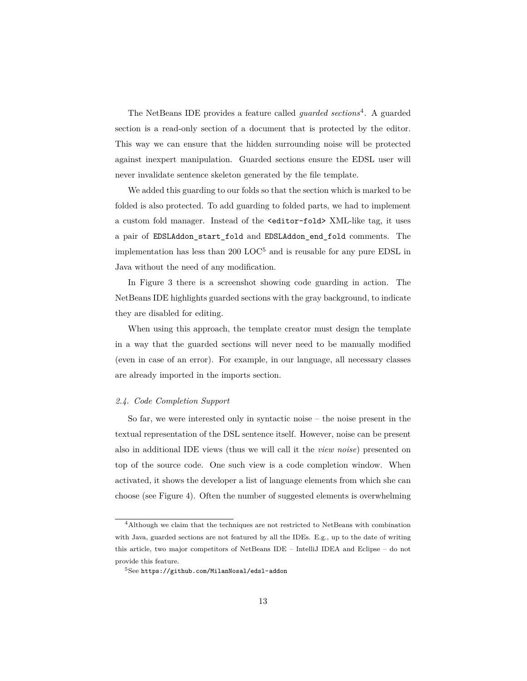The NetBeans IDE provides a feature called *guarded sections*[4](#page-12-1) . A guarded section is a read-only section of a document that is protected by the editor. This way we can ensure that the hidden surrounding noise will be protected against inexpert manipulation. Guarded sections ensure the EDSL user will never invalidate sentence skeleton generated by the file template.

We added this guarding to our folds so that the section which is marked to be folded is also protected. To add guarding to folded parts, we had to implement a custom fold manager. Instead of the <editor-fold> XML-like tag, it uses a pair of EDSLAddon\_start\_fold and EDSLAddon\_end\_fold comments. The implementation has less than 200  $LOC^5$  $LOC^5$  and is reusable for any pure EDSL in Java without the need of any modification.

In Figure [3](#page-13-0) there is a screenshot showing code guarding in action. The NetBeans IDE highlights guarded sections with the gray background, to indicate they are disabled for editing.

When using this approach, the template creator must design the template in a way that the guarded sections will never need to be manually modified (even in case of an error). For example, in our language, all necessary classes are already imported in the imports section.

### <span id="page-12-0"></span>*2.4. Code Completion Support*

So far, we were interested only in syntactic noise – the noise present in the textual representation of the DSL sentence itself. However, noise can be present also in additional IDE views (thus we will call it the *view noise*) presented on top of the source code. One such view is a code completion window. When activated, it shows the developer a list of language elements from which she can choose (see Figure [4\)](#page-14-0). Often the number of suggested elements is overwhelming

<span id="page-12-1"></span><sup>4</sup>Although we claim that the techniques are not restricted to NetBeans with combination with Java, guarded sections are not featured by all the IDEs. E.g., up to the date of writing this article, two major competitors of NetBeans IDE – IntelliJ IDEA and Eclipse – do not provide this feature.

<span id="page-12-2"></span> ${\rm ^5See}$ <https://github.com/MilanNosal/edsl-addon>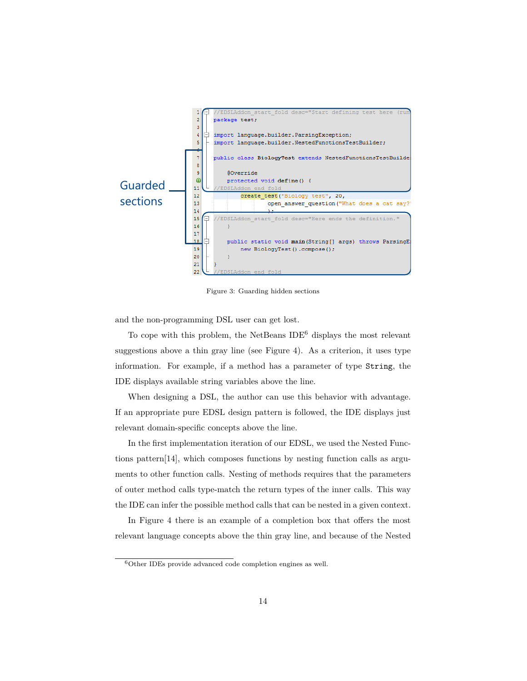<span id="page-13-0"></span>

Figure 3: Guarding hidden sections

and the non-programming DSL user can get lost.

To cope with this problem, the NetBeans  $IDE<sup>6</sup>$  $IDE<sup>6</sup>$  $IDE<sup>6</sup>$  displays the most relevant suggestions above a thin gray line (see Figure [4\)](#page-14-0). As a criterion, it uses type information. For example, if a method has a parameter of type String, the IDE displays available string variables above the line.

When designing a DSL, the author can use this behavior with advantage. If an appropriate pure EDSL design pattern is followed, the IDE displays just relevant domain-specific concepts above the line.

In the first implementation iteration of our EDSL, we used the Nested Functions pattern[\[14\]](#page-38-7), which composes functions by nesting function calls as arguments to other function calls. Nesting of methods requires that the parameters of outer method calls type-match the return types of the inner calls. This way the IDE can infer the possible method calls that can be nested in a given context.

In Figure [4](#page-14-0) there is an example of a completion box that offers the most relevant language concepts above the thin gray line, and because of the Nested

<span id="page-13-1"></span> $6$ Other IDEs provide advanced code completion engines as well.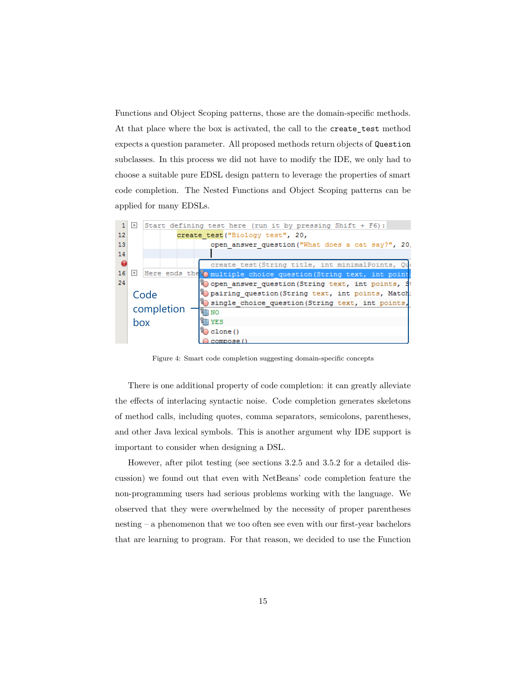Functions and Object Scoping patterns, those are the domain-specific methods. At that place where the box is activated, the call to the create\_test method expects a question parameter. All proposed methods return objects of Question subclasses. In this process we did not have to modify the IDE, we only had to choose a suitable pure EDSL design pattern to leverage the properties of smart code completion. The Nested Functions and Object Scoping patterns can be applied for many EDSLs.

<span id="page-14-0"></span>

Figure 4: Smart code completion suggesting domain-specific concepts

There is one additional property of code completion: it can greatly alleviate the effects of interlacing syntactic noise. Code completion generates skeletons of method calls, including quotes, comma separators, semicolons, parentheses, and other Java lexical symbols. This is another argument why IDE support is important to consider when designing a DSL.

However, after pilot testing (see sections [3.2.5](#page-21-0) and [3.5.2](#page-31-0) for a detailed discussion) we found out that even with NetBeans' code completion feature the non-programming users had serious problems working with the language. We observed that they were overwhelmed by the necessity of proper parentheses nesting – a phenomenon that we too often see even with our first-year bachelors that are learning to program. For that reason, we decided to use the Function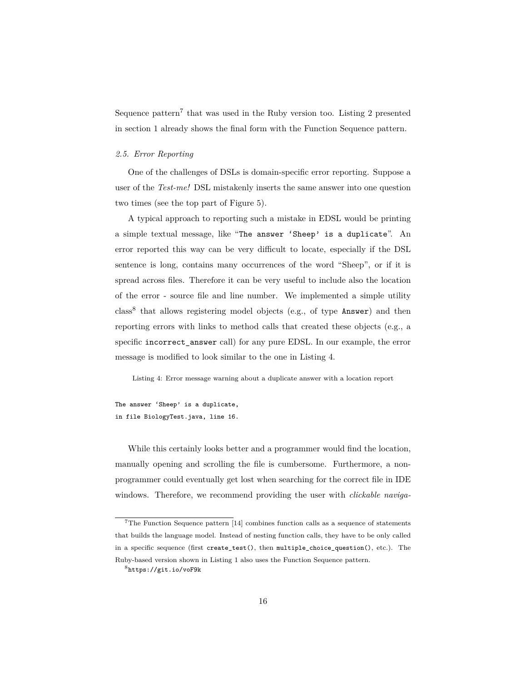Sequence pattern<sup>[7](#page-15-1)</sup> that was used in the Ruby version too. Listing [2](#page-6-0) presented in section [1](#page-1-1) already shows the final form with the Function Sequence pattern.

#### <span id="page-15-0"></span>*2.5. Error Reporting*

One of the challenges of DSLs is domain-specific error reporting. Suppose a user of the *Test-me!* DSL mistakenly inserts the same answer into one question two times (see the top part of Figure [5\)](#page-16-0).

A typical approach to reporting such a mistake in EDSL would be printing a simple textual message, like "The answer 'Sheep' is a duplicate". An error reported this way can be very difficult to locate, especially if the DSL sentence is long, contains many occurrences of the word "Sheep", or if it is spread across files. Therefore it can be very useful to include also the location of the error - source file and line number. We implemented a simple utility class<sup>[8](#page-15-2)</sup> that allows registering model objects (e.g., of type Answer) and then reporting errors with links to method calls that created these objects (e.g., a specific incorrect\_answer call) for any pure EDSL. In our example, the error message is modified to look similar to the one in Listing [4.](#page-15-3)

<span id="page-15-3"></span>Listing 4: Error message warning about a duplicate answer with a location report

The answer 'Sheep' is a duplicate, in file BiologyTest.java, line 16.

While this certainly looks better and a programmer would find the location, manually opening and scrolling the file is cumbersome. Furthermore, a nonprogrammer could eventually get lost when searching for the correct file in IDE windows. Therefore, we recommend providing the user with *clickable naviga-*

<span id="page-15-1"></span><sup>7</sup>The Function Sequence pattern [\[14\]](#page-38-7) combines function calls as a sequence of statements that builds the language model. Instead of nesting function calls, they have to be only called in a specific sequence (first create\_test(), then multiple\_choice\_question(), etc.). The Ruby-based version shown in Listing [1](#page-5-0) also uses the Function Sequence pattern.

<span id="page-15-2"></span><sup>8</sup><https://git.io/voF9k>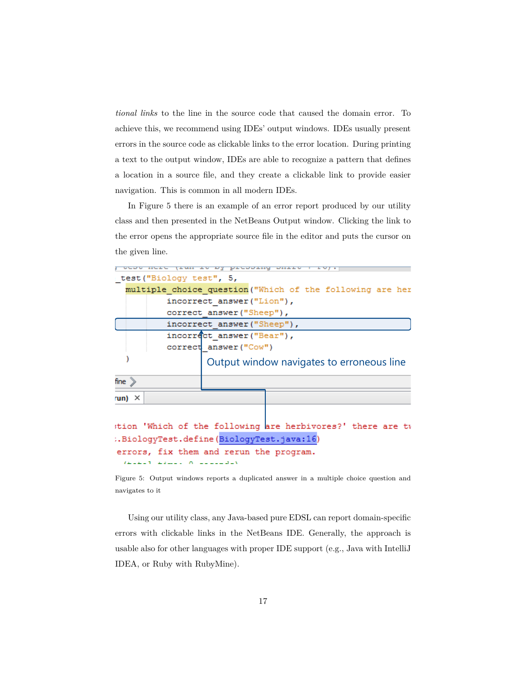*tional links* to the line in the source code that caused the domain error. To achieve this, we recommend using IDEs' output windows. IDEs usually present errors in the source code as clickable links to the error location. During printing a text to the output window, IDEs are able to recognize a pattern that defines a location in a source file, and they create a clickable link to provide easier navigation. This is common in all modern IDEs.

In Figure [5](#page-16-0) there is an example of an error report produced by our utility class and then presented in the NetBeans Output window. Clicking the link to the error opens the appropriate source file in the editor and puts the cursor on the given line.

<span id="page-16-0"></span>

Figure 5: Output windows reports a duplicated answer in a multiple choice question and navigates to it

Using our utility class, any Java-based pure EDSL can report domain-specific errors with clickable links in the NetBeans IDE. Generally, the approach is usable also for other languages with proper IDE support (e.g., Java with IntelliJ IDEA, or Ruby with RubyMine).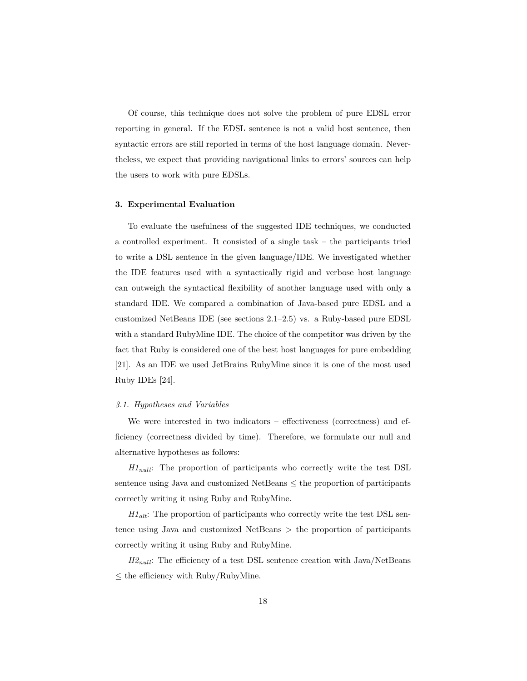Of course, this technique does not solve the problem of pure EDSL error reporting in general. If the EDSL sentence is not a valid host sentence, then syntactic errors are still reported in terms of the host language domain. Nevertheless, we expect that providing navigational links to errors' sources can help the users to work with pure EDSLs.

### **3. Experimental Evaluation**

To evaluate the usefulness of the suggested IDE techniques, we conducted a controlled experiment. It consisted of a single task – the participants tried to write a DSL sentence in the given language/IDE. We investigated whether the IDE features used with a syntactically rigid and verbose host language can outweigh the syntactical flexibility of another language used with only a standard IDE. We compared a combination of Java-based pure EDSL and a customized NetBeans IDE (see sections [2.1–](#page-7-0)[2.5\)](#page-15-0) vs. a Ruby-based pure EDSL with a standard RubyMine IDE. The choice of the competitor was driven by the fact that Ruby is considered one of the best host languages for pure embedding [\[21\]](#page-39-5). As an IDE we used JetBrains RubyMine since it is one of the most used Ruby IDEs [\[24\]](#page-40-0).

#### *3.1. Hypotheses and Variables*

We were interested in two indicators – effectiveness (correctness) and efficiency (correctness divided by time). Therefore, we formulate our null and alternative hypotheses as follows:

 $H1_{null}$ : The proportion of participants who correctly write the test DSL sentence using Java and customized NetBeans  $\leq$  the proportion of participants correctly writing it using Ruby and RubyMine.

*H1alt*: The proportion of participants who correctly write the test DSL sentence using Java and customized NetBeans *>* the proportion of participants correctly writing it using Ruby and RubyMine.

 $H2_{null}$ : The efficiency of a test DSL sentence creation with Java/NetBeans  $\leq$  the efficiency with Ruby/RubyMine.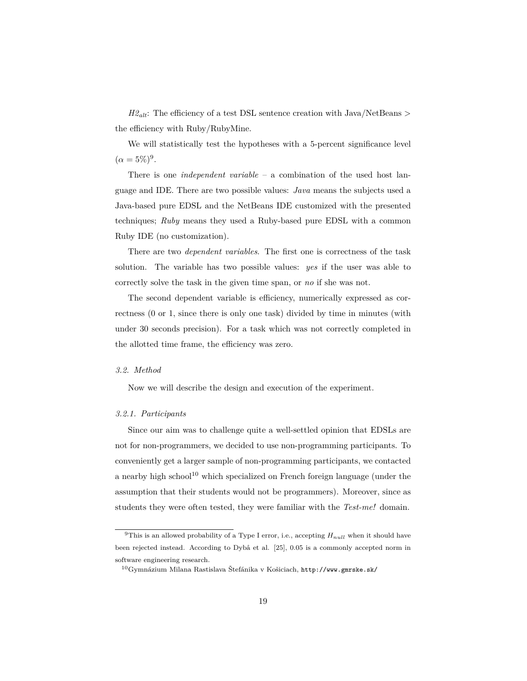*H2alt*: The efficiency of a test DSL sentence creation with Java/NetBeans *>* the efficiency with Ruby/RubyMine.

We will statistically test the hypotheses with a 5-percent significance level  $(\alpha = 5\%)^9$  $(\alpha = 5\%)^9$ .

There is one *independent variable* – a combination of the used host language and IDE. There are two possible values: *Java* means the subjects used a Java-based pure EDSL and the NetBeans IDE customized with the presented techniques; *Ruby* means they used a Ruby-based pure EDSL with a common Ruby IDE (no customization).

There are two *dependent variables*. The first one is correctness of the task solution. The variable has two possible values: *yes* if the user was able to correctly solve the task in the given time span, or *no* if she was not.

The second dependent variable is efficiency, numerically expressed as correctness (0 or 1, since there is only one task) divided by time in minutes (with under 30 seconds precision). For a task which was not correctly completed in the allotted time frame, the efficiency was zero.

### *3.2. Method*

Now we will describe the design and execution of the experiment.

## <span id="page-18-2"></span>*3.2.1. Participants*

Since our aim was to challenge quite a well-settled opinion that EDSLs are not for non-programmers, we decided to use non-programming participants. To conveniently get a larger sample of non-programming participants, we contacted a nearby high school<sup>[10](#page-18-1)</sup> which specialized on French foreign language (under the assumption that their students would not be programmers). Moreover, since as students they were often tested, they were familiar with the *Test-me!* domain.

<span id="page-18-0"></span><sup>&</sup>lt;sup>9</sup>This is an allowed probability of a Type I error, i.e., accepting  $H_{null}$  when it should have been rejected instead. According to Dybå et al. [\[25\]](#page-40-1), 0.05 is a commonly accepted norm in software engineering research.

<span id="page-18-1"></span> $^{10}$ Gymnázium Milana Rastislava Štefánika v Košiciach, <http://www.gmrske.sk/>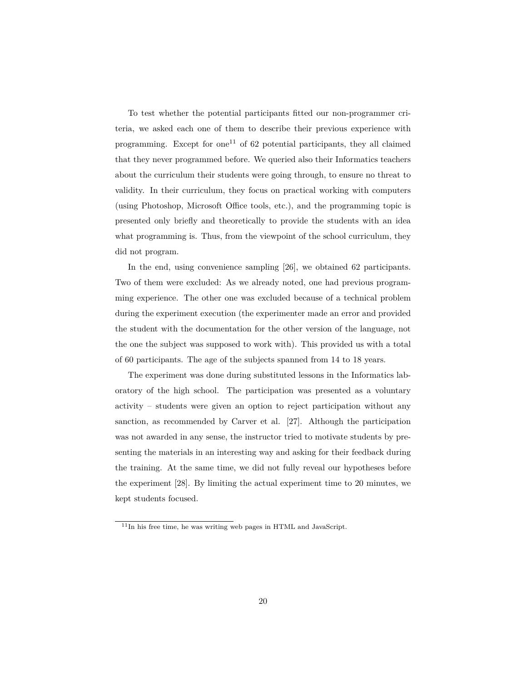To test whether the potential participants fitted our non-programmer criteria, we asked each one of them to describe their previous experience with programming. Except for one<sup>[11](#page-19-0)</sup> of 62 potential participants, they all claimed that they never programmed before. We queried also their Informatics teachers about the curriculum their students were going through, to ensure no threat to validity. In their curriculum, they focus on practical working with computers (using Photoshop, Microsoft Office tools, etc.), and the programming topic is presented only briefly and theoretically to provide the students with an idea what programming is. Thus, from the viewpoint of the school curriculum, they did not program.

In the end, using convenience sampling [\[26\]](#page-40-2), we obtained 62 participants. Two of them were excluded: As we already noted, one had previous programming experience. The other one was excluded because of a technical problem during the experiment execution (the experimenter made an error and provided the student with the documentation for the other version of the language, not the one the subject was supposed to work with). This provided us with a total of 60 participants. The age of the subjects spanned from 14 to 18 years.

The experiment was done during substituted lessons in the Informatics laboratory of the high school. The participation was presented as a voluntary activity – students were given an option to reject participation without any sanction, as recommended by Carver et al. [\[27\]](#page-40-3). Although the participation was not awarded in any sense, the instructor tried to motivate students by presenting the materials in an interesting way and asking for their feedback during the training. At the same time, we did not fully reveal our hypotheses before the experiment [\[28\]](#page-40-4). By limiting the actual experiment time to 20 minutes, we kept students focused.

<span id="page-19-0"></span><sup>&</sup>lt;sup>11</sup>In his free time, he was writing web pages in HTML and JavaScript.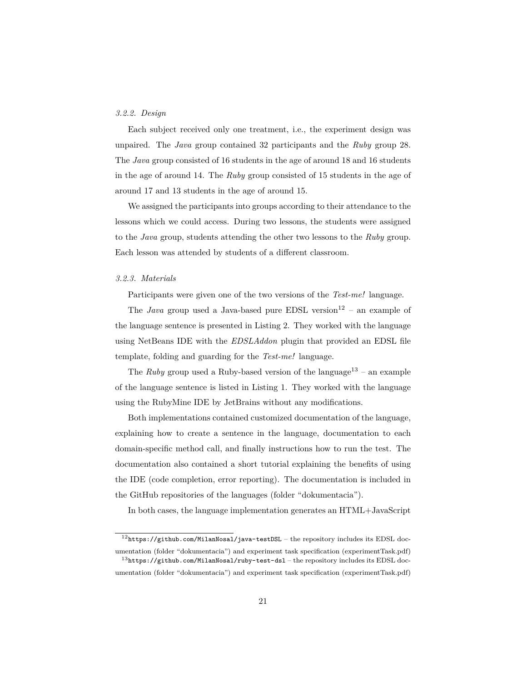## *3.2.2. Design*

Each subject received only one treatment, i.e., the experiment design was unpaired. The *Java* group contained 32 participants and the *Ruby* group 28. The *Java* group consisted of 16 students in the age of around 18 and 16 students in the age of around 14. The *Ruby* group consisted of 15 students in the age of around 17 and 13 students in the age of around 15.

We assigned the participants into groups according to their attendance to the lessons which we could access. During two lessons, the students were assigned to the *Java* group, students attending the other two lessons to the *Ruby* group. Each lesson was attended by students of a different classroom.

### <span id="page-20-2"></span>*3.2.3. Materials*

Participants were given one of the two versions of the *Test-me!* language.

The *Java* group used a Java-based pure EDSL version<sup>[12](#page-20-0)</sup> – an example of the language sentence is presented in Listing [2.](#page-6-0) They worked with the language using NetBeans IDE with the *EDSLAddon* plugin that provided an EDSL file template, folding and guarding for the *Test-me!* language.

The  $Ruby$  group used a Ruby-based version of the language<sup>[13](#page-20-1)</sup> – an example of the language sentence is listed in Listing [1.](#page-5-0) They worked with the language using the RubyMine IDE by JetBrains without any modifications.

Both implementations contained customized documentation of the language, explaining how to create a sentence in the language, documentation to each domain-specific method call, and finally instructions how to run the test. The documentation also contained a short tutorial explaining the benefits of using the IDE (code completion, error reporting). The documentation is included in the GitHub repositories of the languages (folder "dokumentacia").

In both cases, the language implementation generates an HTML+JavaScript

<span id="page-20-0"></span> $12$ <https://github.com/MilanNosal/java-testDSL> – the repository includes its EDSL documentation (folder "dokumentacia") and experiment task specification (experimentTask.pdf)

<span id="page-20-1"></span> $13$ <https://github.com/MilanNosal/ruby-test-dsl> – the repository includes its EDSL doc-

umentation (folder "dokumentacia") and experiment task specification (experimentTask.pdf)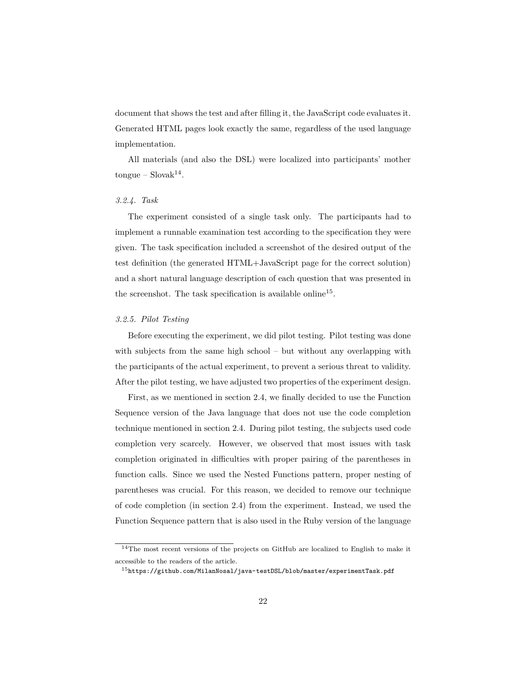document that shows the test and after filling it, the JavaScript code evaluates it. Generated HTML pages look exactly the same, regardless of the used language implementation.

All materials (and also the DSL) were localized into participants' mother  $tongue - Slovak<sup>14</sup>.$  $tongue - Slovak<sup>14</sup>.$  $tongue - Slovak<sup>14</sup>.$ 

#### *3.2.4. Task*

The experiment consisted of a single task only. The participants had to implement a runnable examination test according to the specification they were given. The task specification included a screenshot of the desired output of the test definition (the generated HTML+JavaScript page for the correct solution) and a short natural language description of each question that was presented in the screenshot. The task specification is available online<sup>[15](#page-21-2)</sup>.

#### <span id="page-21-0"></span>*3.2.5. Pilot Testing*

Before executing the experiment, we did pilot testing. Pilot testing was done with subjects from the same high school – but without any overlapping with the participants of the actual experiment, to prevent a serious threat to validity. After the pilot testing, we have adjusted two properties of the experiment design.

First, as we mentioned in section [2.4,](#page-12-0) we finally decided to use the Function Sequence version of the Java language that does not use the code completion technique mentioned in section [2.4.](#page-12-0) During pilot testing, the subjects used code completion very scarcely. However, we observed that most issues with task completion originated in difficulties with proper pairing of the parentheses in function calls. Since we used the Nested Functions pattern, proper nesting of parentheses was crucial. For this reason, we decided to remove our technique of code completion (in section [2.4\)](#page-12-0) from the experiment. Instead, we used the Function Sequence pattern that is also used in the Ruby version of the language

<span id="page-21-1"></span><sup>&</sup>lt;sup>14</sup>The most recent versions of the projects on GitHub are localized to English to make it accessible to the readers of the article.

<span id="page-21-2"></span> $^{15}{\tt https://github.com/MilanNosal/java-testDSL/blob/master/experimentTask.pdf}$  $^{15}{\tt https://github.com/MilanNosal/java-testDSL/blob/master/experimentTask.pdf}$  $^{15}{\tt https://github.com/MilanNosal/java-testDSL/blob/master/experimentTask.pdf}$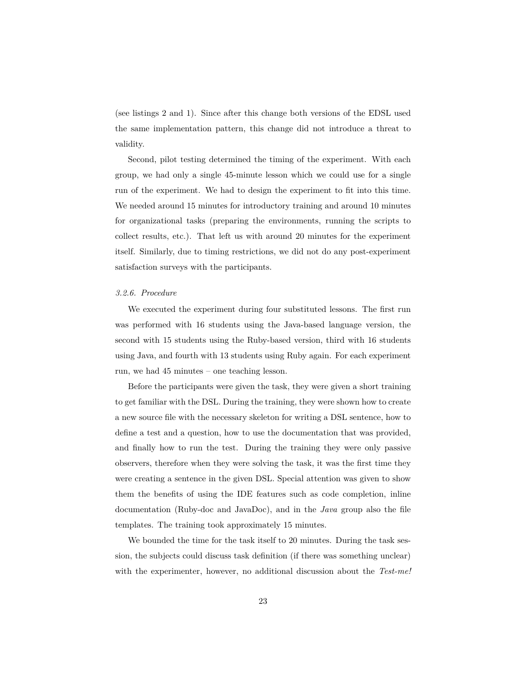(see listings [2](#page-6-0) and [1\)](#page-5-0). Since after this change both versions of the EDSL used the same implementation pattern, this change did not introduce a threat to validity.

Second, pilot testing determined the timing of the experiment. With each group, we had only a single 45-minute lesson which we could use for a single run of the experiment. We had to design the experiment to fit into this time. We needed around 15 minutes for introductory training and around 10 minutes for organizational tasks (preparing the environments, running the scripts to collect results, etc.). That left us with around 20 minutes for the experiment itself. Similarly, due to timing restrictions, we did not do any post-experiment satisfaction surveys with the participants.

## *3.2.6. Procedure*

We executed the experiment during four substituted lessons. The first run was performed with 16 students using the Java-based language version, the second with 15 students using the Ruby-based version, third with 16 students using Java, and fourth with 13 students using Ruby again. For each experiment run, we had 45 minutes – one teaching lesson.

Before the participants were given the task, they were given a short training to get familiar with the DSL. During the training, they were shown how to create a new source file with the necessary skeleton for writing a DSL sentence, how to define a test and a question, how to use the documentation that was provided, and finally how to run the test. During the training they were only passive observers, therefore when they were solving the task, it was the first time they were creating a sentence in the given DSL. Special attention was given to show them the benefits of using the IDE features such as code completion, inline documentation (Ruby-doc and JavaDoc), and in the *Java* group also the file templates. The training took approximately 15 minutes.

We bounded the time for the task itself to 20 minutes. During the task session, the subjects could discuss task definition (if there was something unclear) with the experimenter, however, no additional discussion about the *Test-me!*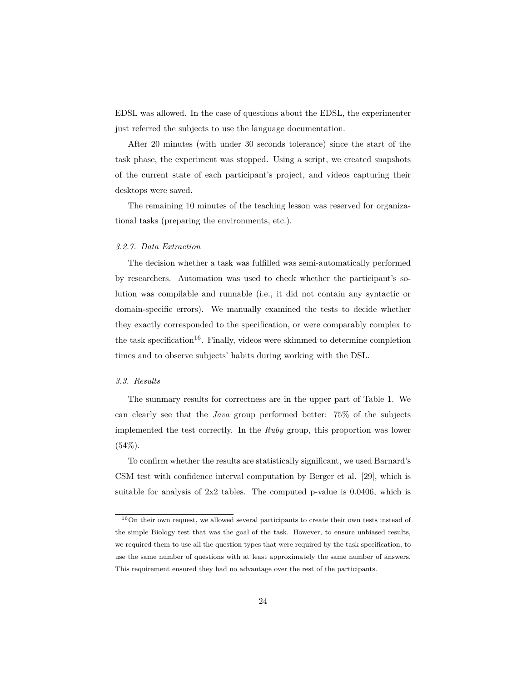EDSL was allowed. In the case of questions about the EDSL, the experimenter just referred the subjects to use the language documentation.

After 20 minutes (with under 30 seconds tolerance) since the start of the task phase, the experiment was stopped. Using a script, we created snapshots of the current state of each participant's project, and videos capturing their desktops were saved.

The remaining 10 minutes of the teaching lesson was reserved for organizational tasks (preparing the environments, etc.).

## *3.2.7. Data Extraction*

The decision whether a task was fulfilled was semi-automatically performed by researchers. Automation was used to check whether the participant's solution was compilable and runnable (i.e., it did not contain any syntactic or domain-specific errors). We manually examined the tests to decide whether they exactly corresponded to the specification, or were comparably complex to the task specification<sup>[16](#page-23-0)</sup>. Finally, videos were skimmed to determine completion times and to observe subjects' habits during working with the DSL.

#### *3.3. Results*

The summary results for correctness are in the upper part of Table [1.](#page-24-0) We can clearly see that the *Java* group performed better: 75% of the subjects implemented the test correctly. In the *Ruby* group, this proportion was lower  $(54\%).$ 

To confirm whether the results are statistically significant, we used Barnard's CSM test with confidence interval computation by Berger et al. [\[29\]](#page-40-5), which is suitable for analysis of 2x2 tables. The computed p-value is 0.0406, which is

<span id="page-23-0"></span><sup>16</sup>On their own request, we allowed several participants to create their own tests instead of the simple Biology test that was the goal of the task. However, to ensure unbiased results, we required them to use all the question types that were required by the task specification, to use the same number of questions with at least approximately the same number of answers. This requirement ensured they had no advantage over the rest of the participants.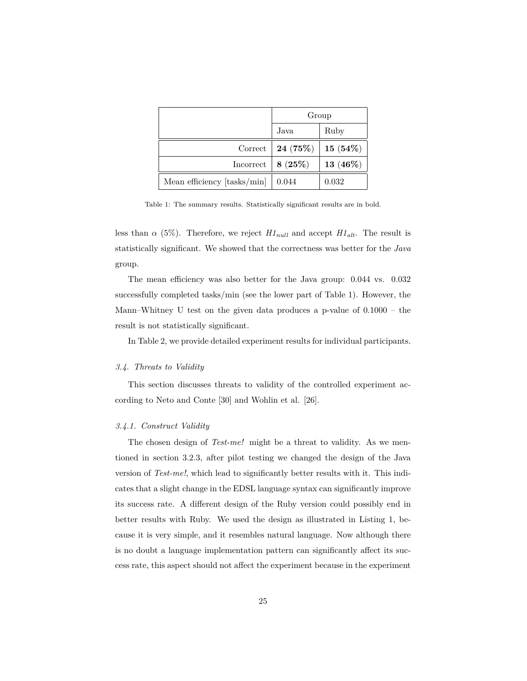<span id="page-24-0"></span>

|                             | Group    |            |  |
|-----------------------------|----------|------------|--|
|                             | Java     | Ruby       |  |
| Correct                     | 24 (75%) | $15(54\%)$ |  |
| Incorrect                   | 8(25%)   | $13(46\%)$ |  |
| Mean efficiency [tasks/min] | 0.044    | 0.032      |  |

Table 1: The summary results. Statistically significant results are in bold.

less than  $\alpha$  (5%). Therefore, we reject  $H1_{null}$  and accept  $H1_{alt}$ . The result is statistically significant. We showed that the correctness was better for the *Java* group.

The mean efficiency was also better for the Java group: 0.044 vs. 0.032 successfully completed tasks/min (see the lower part of Table [1\)](#page-24-0). However, the Mann–Whitney U test on the given data produces a p-value of 0.1000 – the result is not statistically significant.

In Table [2,](#page-25-0) we provide detailed experiment results for individual participants.

#### *3.4. Threats to Validity*

This section discusses threats to validity of the controlled experiment according to Neto and Conte [\[30\]](#page-40-6) and Wohlin et al. [\[26\]](#page-40-2).

#### *3.4.1. Construct Validity*

The chosen design of *Test-me!* might be a threat to validity. As we mentioned in section [3.2.3,](#page-20-2) after pilot testing we changed the design of the Java version of *Test-me!*, which lead to significantly better results with it. This indicates that a slight change in the EDSL language syntax can significantly improve its success rate. A different design of the Ruby version could possibly end in better results with Ruby. We used the design as illustrated in Listing [1,](#page-5-0) because it is very simple, and it resembles natural language. Now although there is no doubt a language implementation pattern can significantly affect its success rate, this aspect should not affect the experiment because in the experiment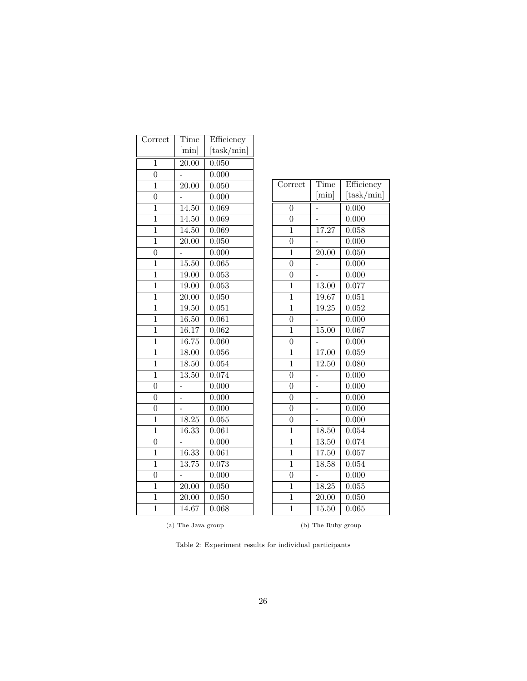<span id="page-25-0"></span>

| Correct        | Time<br>Efficiency |                    |  |
|----------------|--------------------|--------------------|--|
|                | [min]              | [task/min]         |  |
| 1              | $\overline{20.00}$ | 0.050              |  |
| $\overline{0}$ |                    | 0.000              |  |
| $\mathbf{1}$   | 20.00              | 0.050              |  |
| $\overline{0}$ |                    | 0.000              |  |
| $\overline{1}$ | 14.50              | 0.069              |  |
| $\overline{1}$ | 14.50              | 0.069              |  |
| $\overline{1}$ | 14.50              | 0.069              |  |
| $\mathbf{1}$   | 20.00              | 0.050              |  |
| $\overline{0}$ |                    | 0.000              |  |
| 1              | 15.50              | 0.065              |  |
| $\overline{1}$ | 19.00              | 0.053              |  |
| $\overline{1}$ | 19.00              | 0.053              |  |
| $\overline{1}$ | 20.00              | 0.050              |  |
| $\mathbf 1$    | 19.50              | $\overline{0.051}$ |  |
| $\mathbf 1$    | 16.50              | 0.061              |  |
| $\overline{1}$ | 16.17              | 0.062              |  |
| $\overline{1}$ | 16.75              | 0.060              |  |
| $\overline{1}$ | 18.00              | 0.056              |  |
| $\mathbf{1}$   | 18.50              | 0.054              |  |
| $\overline{1}$ | 13.50              | 0.074              |  |
| $\overline{0}$ |                    | 0.000              |  |
| $\overline{0}$ |                    | 0.000              |  |
| $\overline{0}$ |                    | 0.000              |  |
| $\overline{1}$ | 18.25              | 0.055              |  |
| $\overline{1}$ | 16.33              | 0.061              |  |
| $\overline{0}$ |                    | 0.000              |  |
| $\overline{1}$ | 16.33              | 0.061              |  |
| $\overline{1}$ | 13.75              | 0.073              |  |
| $\overline{0}$ |                    | 0.000              |  |
| $\mathbf 1$    | 20.00              | 0.050              |  |
| $\mathbf 1$    | 20.00              | 0.050              |  |
| $\overline{1}$ | 14.67              | 0.068              |  |

| Correct        | Time     | Efficiency         |
|----------------|----------|--------------------|
|                | $[\min]$ | [task/min]         |
| $\overline{0}$ |          | 0.000              |
| $\overline{0}$ |          | 0.000              |
| $\overline{1}$ | 17.27    | 0.058              |
| $\overline{0}$ |          | 0.000              |
| 1              | 20.00    | 0.050              |
| $\overline{0}$ |          | 0.000              |
| $\overline{0}$ |          | 0.000              |
| $\overline{1}$ | 13.00    | 0.077              |
| $\overline{1}$ | 19.67    | 0.051              |
| $\overline{1}$ | 19.25    | 0.052              |
| $\overline{0}$ |          | 0.000              |
| $\overline{1}$ | 15.00    | 0.067              |
| $\overline{0}$ |          | 0.000              |
| 1              | 17.00    | 0.059              |
| $\overline{1}$ | 12.50    | 0.080              |
| $\overline{0}$ |          | 0.000              |
| $\overline{0}$ |          | 0.000              |
| $\overline{0}$ |          | 0.000              |
| $\overline{0}$ |          | $\overline{0.000}$ |
| $\overline{0}$ |          | 0.000              |
| $\overline{1}$ | 18.50    | 0.054              |
| $\overline{1}$ | 13.50    | 0.074              |
| $\overline{1}$ | 17.50    | 0.057              |
| $\overline{1}$ | 18.58    | 0.054              |
| 0              |          | 0.000              |
| $\overline{1}$ | 18.25    | 0.055              |
| $\overline{1}$ | 20.00    | 0.050              |
| $\overline{1}$ | 15.50    | 0.065              |

(a) The Java group

(b) The Ruby group

Table 2: Experiment results for individual participants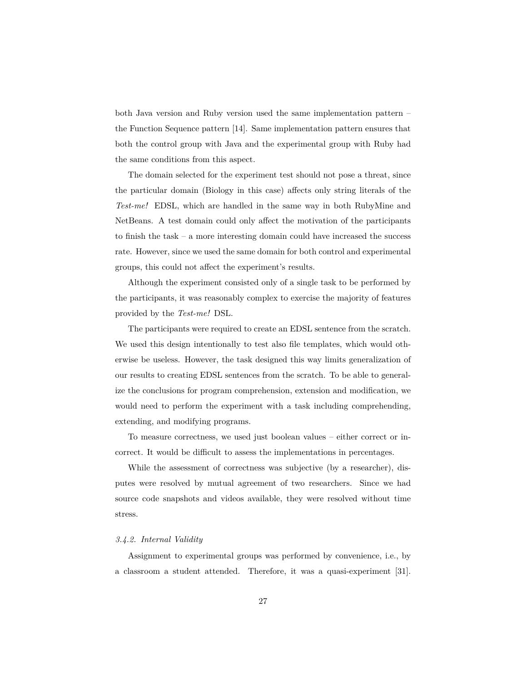both Java version and Ruby version used the same implementation pattern – the Function Sequence pattern [\[14\]](#page-38-7). Same implementation pattern ensures that both the control group with Java and the experimental group with Ruby had the same conditions from this aspect.

The domain selected for the experiment test should not pose a threat, since the particular domain (Biology in this case) affects only string literals of the *Test-me!* EDSL, which are handled in the same way in both RubyMine and NetBeans. A test domain could only affect the motivation of the participants to finish the task – a more interesting domain could have increased the success rate. However, since we used the same domain for both control and experimental groups, this could not affect the experiment's results.

Although the experiment consisted only of a single task to be performed by the participants, it was reasonably complex to exercise the majority of features provided by the *Test-me!* DSL.

The participants were required to create an EDSL sentence from the scratch. We used this design intentionally to test also file templates, which would otherwise be useless. However, the task designed this way limits generalization of our results to creating EDSL sentences from the scratch. To be able to generalize the conclusions for program comprehension, extension and modification, we would need to perform the experiment with a task including comprehending, extending, and modifying programs.

To measure correctness, we used just boolean values – either correct or incorrect. It would be difficult to assess the implementations in percentages.

While the assessment of correctness was subjective (by a researcher), disputes were resolved by mutual agreement of two researchers. Since we had source code snapshots and videos available, they were resolved without time stress.

#### *3.4.2. Internal Validity*

Assignment to experimental groups was performed by convenience, i.e., by a classroom a student attended. Therefore, it was a quasi-experiment [\[31\]](#page-40-7).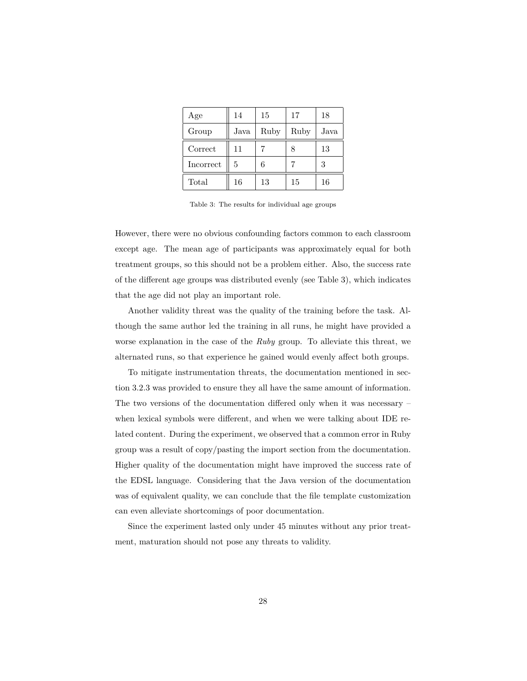<span id="page-27-0"></span>

| Age       | 14   | 15   | 17   | 18   |
|-----------|------|------|------|------|
| Group     | Java | Ruby | Ruby | Java |
| Correct   | 11   |      |      | 13   |
| Incorrect | 5    |      |      | 3    |
| Total     | 16   | 13   | 15   | 16   |

Table 3: The results for individual age groups

However, there were no obvious confounding factors common to each classroom except age. The mean age of participants was approximately equal for both treatment groups, so this should not be a problem either. Also, the success rate of the different age groups was distributed evenly (see Table [3\)](#page-27-0), which indicates that the age did not play an important role.

Another validity threat was the quality of the training before the task. Although the same author led the training in all runs, he might have provided a worse explanation in the case of the *Ruby* group. To alleviate this threat, we alternated runs, so that experience he gained would evenly affect both groups.

To mitigate instrumentation threats, the documentation mentioned in section [3.2.3](#page-20-2) was provided to ensure they all have the same amount of information. The two versions of the documentation differed only when it was necessary – when lexical symbols were different, and when we were talking about IDE related content. During the experiment, we observed that a common error in Ruby group was a result of copy/pasting the import section from the documentation. Higher quality of the documentation might have improved the success rate of the EDSL language. Considering that the Java version of the documentation was of equivalent quality, we can conclude that the file template customization can even alleviate shortcomings of poor documentation.

Since the experiment lasted only under 45 minutes without any prior treatment, maturation should not pose any threats to validity.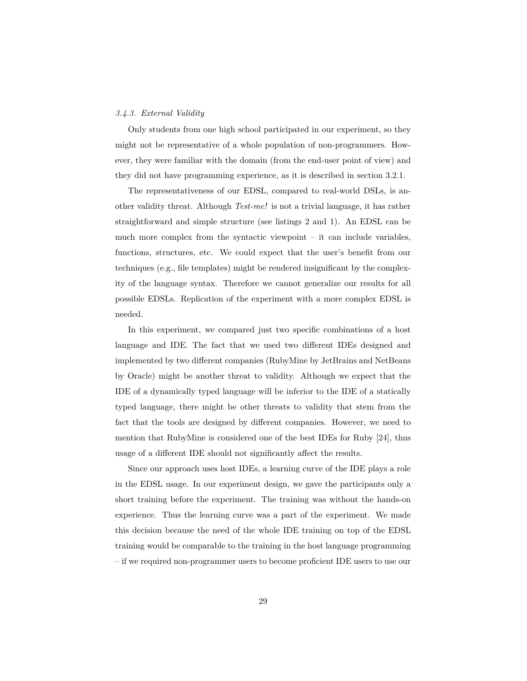## *3.4.3. External Validity*

Only students from one high school participated in our experiment, so they might not be representative of a whole population of non-programmers. However, they were familiar with the domain (from the end-user point of view) and they did not have programming experience, as it is described in section [3.2.1.](#page-18-2)

The representativeness of our EDSL, compared to real-world DSLs, is another validity threat. Although *Test-me!* is not a trivial language, it has rather straightforward and simple structure (see listings [2](#page-6-0) and [1\)](#page-5-0). An EDSL can be much more complex from the syntactic viewpoint – it can include variables, functions, structures, etc. We could expect that the user's benefit from our techniques (e.g., file templates) might be rendered insignificant by the complexity of the language syntax. Therefore we cannot generalize our results for all possible EDSLs. Replication of the experiment with a more complex EDSL is needed.

In this experiment, we compared just two specific combinations of a host language and IDE. The fact that we used two different IDEs designed and implemented by two different companies (RubyMine by JetBrains and NetBeans by Oracle) might be another threat to validity. Although we expect that the IDE of a dynamically typed language will be inferior to the IDE of a statically typed language, there might be other threats to validity that stem from the fact that the tools are designed by different companies. However, we need to mention that RubyMine is considered one of the best IDEs for Ruby [\[24\]](#page-40-0), thus usage of a different IDE should not significantly affect the results.

Since our approach uses host IDEs, a learning curve of the IDE plays a role in the EDSL usage. In our experiment design, we gave the participants only a short training before the experiment. The training was without the hands-on experience. Thus the learning curve was a part of the experiment. We made this decision because the need of the whole IDE training on top of the EDSL training would be comparable to the training in the host language programming – if we required non-programmer users to become proficient IDE users to use our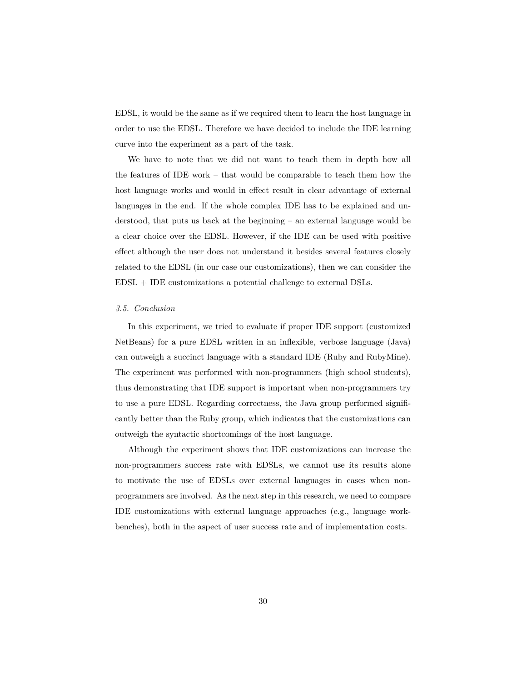EDSL, it would be the same as if we required them to learn the host language in order to use the EDSL. Therefore we have decided to include the IDE learning curve into the experiment as a part of the task.

We have to note that we did not want to teach them in depth how all the features of IDE work – that would be comparable to teach them how the host language works and would in effect result in clear advantage of external languages in the end. If the whole complex IDE has to be explained and understood, that puts us back at the beginning – an external language would be a clear choice over the EDSL. However, if the IDE can be used with positive effect although the user does not understand it besides several features closely related to the EDSL (in our case our customizations), then we can consider the EDSL + IDE customizations a potential challenge to external DSLs.

#### *3.5. Conclusion*

In this experiment, we tried to evaluate if proper IDE support (customized NetBeans) for a pure EDSL written in an inflexible, verbose language (Java) can outweigh a succinct language with a standard IDE (Ruby and RubyMine). The experiment was performed with non-programmers (high school students), thus demonstrating that IDE support is important when non-programmers try to use a pure EDSL. Regarding correctness, the Java group performed significantly better than the Ruby group, which indicates that the customizations can outweigh the syntactic shortcomings of the host language.

Although the experiment shows that IDE customizations can increase the non-programmers success rate with EDSLs, we cannot use its results alone to motivate the use of EDSLs over external languages in cases when nonprogrammers are involved. As the next step in this research, we need to compare IDE customizations with external language approaches (e.g., language workbenches), both in the aspect of user success rate and of implementation costs.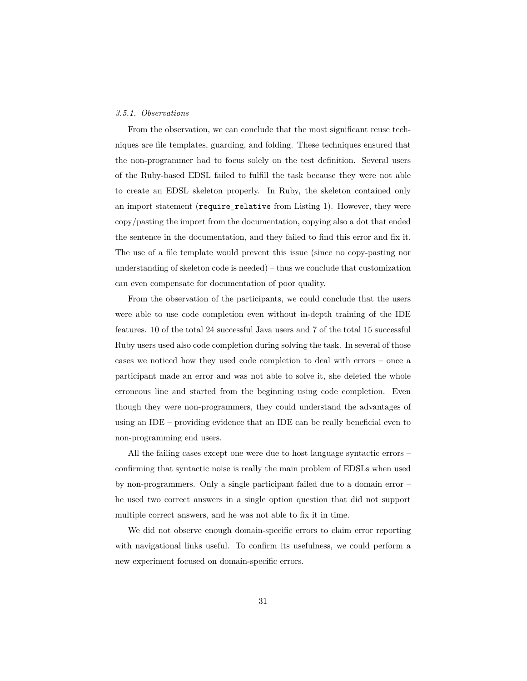## *3.5.1. Observations*

From the observation, we can conclude that the most significant reuse techniques are file templates, guarding, and folding. These techniques ensured that the non-programmer had to focus solely on the test definition. Several users of the Ruby-based EDSL failed to fulfill the task because they were not able to create an EDSL skeleton properly. In Ruby, the skeleton contained only an import statement (require\_relative from Listing [1\)](#page-5-0). However, they were copy/pasting the import from the documentation, copying also a dot that ended the sentence in the documentation, and they failed to find this error and fix it. The use of a file template would prevent this issue (since no copy-pasting nor understanding of skeleton code is needed) – thus we conclude that customization can even compensate for documentation of poor quality.

From the observation of the participants, we could conclude that the users were able to use code completion even without in-depth training of the IDE features. 10 of the total 24 successful Java users and 7 of the total 15 successful Ruby users used also code completion during solving the task. In several of those cases we noticed how they used code completion to deal with errors – once a participant made an error and was not able to solve it, she deleted the whole erroneous line and started from the beginning using code completion. Even though they were non-programmers, they could understand the advantages of using an IDE – providing evidence that an IDE can be really beneficial even to non-programming end users.

All the failing cases except one were due to host language syntactic errors – confirming that syntactic noise is really the main problem of EDSLs when used by non-programmers. Only a single participant failed due to a domain error – he used two correct answers in a single option question that did not support multiple correct answers, and he was not able to fix it in time.

We did not observe enough domain-specific errors to claim error reporting with navigational links useful. To confirm its usefulness, we could perform a new experiment focused on domain-specific errors.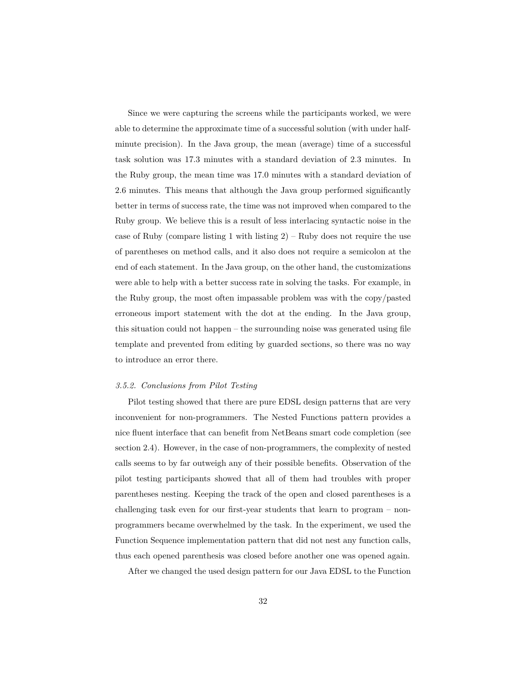Since we were capturing the screens while the participants worked, we were able to determine the approximate time of a successful solution (with under halfminute precision). In the Java group, the mean (average) time of a successful task solution was 17.3 minutes with a standard deviation of 2.3 minutes. In the Ruby group, the mean time was 17.0 minutes with a standard deviation of 2.6 minutes. This means that although the Java group performed significantly better in terms of success rate, the time was not improved when compared to the Ruby group. We believe this is a result of less interlacing syntactic noise in the case of Ruby (compare listing  $1$  with listing  $2$ ) – Ruby does not require the use of parentheses on method calls, and it also does not require a semicolon at the end of each statement. In the Java group, on the other hand, the customizations were able to help with a better success rate in solving the tasks. For example, in the Ruby group, the most often impassable problem was with the copy/pasted erroneous import statement with the dot at the ending. In the Java group, this situation could not happen – the surrounding noise was generated using file template and prevented from editing by guarded sections, so there was no way to introduce an error there.

#### <span id="page-31-0"></span>*3.5.2. Conclusions from Pilot Testing*

Pilot testing showed that there are pure EDSL design patterns that are very inconvenient for non-programmers. The Nested Functions pattern provides a nice fluent interface that can benefit from NetBeans smart code completion (see section [2.4\)](#page-12-0). However, in the case of non-programmers, the complexity of nested calls seems to by far outweigh any of their possible benefits. Observation of the pilot testing participants showed that all of them had troubles with proper parentheses nesting. Keeping the track of the open and closed parentheses is a challenging task even for our first-year students that learn to program – nonprogrammers became overwhelmed by the task. In the experiment, we used the Function Sequence implementation pattern that did not nest any function calls, thus each opened parenthesis was closed before another one was opened again.

After we changed the used design pattern for our Java EDSL to the Function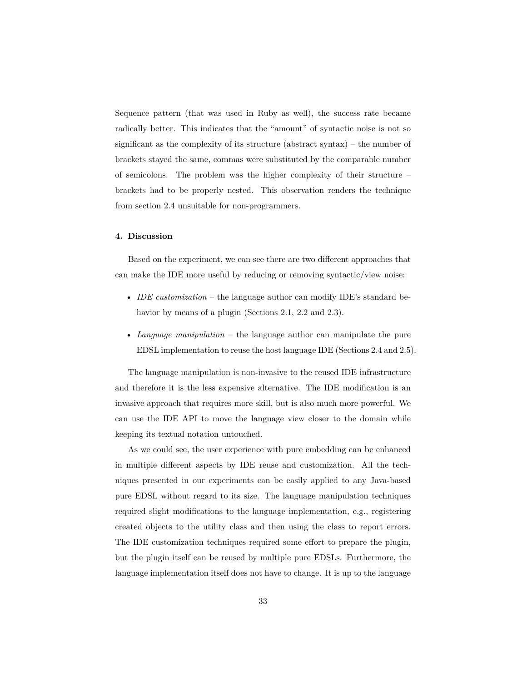Sequence pattern (that was used in Ruby as well), the success rate became radically better. This indicates that the "amount" of syntactic noise is not so significant as the complexity of its structure (abstract syntax) – the number of brackets stayed the same, commas were substituted by the comparable number of semicolons. The problem was the higher complexity of their structure – brackets had to be properly nested. This observation renders the technique from section [2.4](#page-12-0) unsuitable for non-programmers.

## **4. Discussion**

Based on the experiment, we can see there are two different approaches that can make the IDE more useful by reducing or removing syntactic/view noise:

- *IDE customization* the language author can modify IDE's standard be-havior by means of a plugin (Sections [2.1,](#page-7-0) [2.2](#page-8-0) and [2.3\)](#page-11-0).
- *Language manipulation* the language author can manipulate the pure EDSL implementation to reuse the host language IDE (Sections [2.4](#page-12-0) and [2.5\)](#page-15-0).

The language manipulation is non-invasive to the reused IDE infrastructure and therefore it is the less expensive alternative. The IDE modification is an invasive approach that requires more skill, but is also much more powerful. We can use the IDE API to move the language view closer to the domain while keeping its textual notation untouched.

As we could see, the user experience with pure embedding can be enhanced in multiple different aspects by IDE reuse and customization. All the techniques presented in our experiments can be easily applied to any Java-based pure EDSL without regard to its size. The language manipulation techniques required slight modifications to the language implementation, e.g., registering created objects to the utility class and then using the class to report errors. The IDE customization techniques required some effort to prepare the plugin, but the plugin itself can be reused by multiple pure EDSLs. Furthermore, the language implementation itself does not have to change. It is up to the language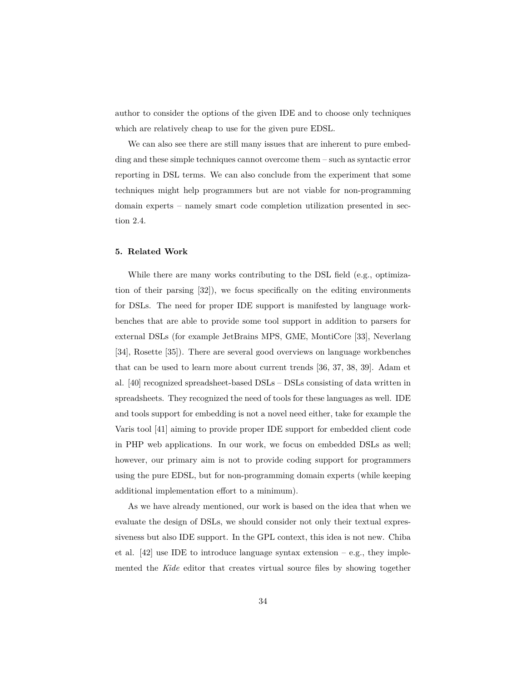author to consider the options of the given IDE and to choose only techniques which are relatively cheap to use for the given pure EDSL.

We can also see there are still many issues that are inherent to pure embedding and these simple techniques cannot overcome them – such as syntactic error reporting in DSL terms. We can also conclude from the experiment that some techniques might help programmers but are not viable for non-programming domain experts – namely smart code completion utilization presented in section [2.4.](#page-12-0)

## **5. Related Work**

While there are many works contributing to the DSL field (e.g., optimization of their parsing [\[32\]](#page-40-8)), we focus specifically on the editing environments for DSLs. The need for proper IDE support is manifested by language workbenches that are able to provide some tool support in addition to parsers for external DSLs (for example JetBrains MPS, GME, MontiCore [\[33\]](#page-41-0), Neverlang [\[34\]](#page-41-1), Rosette [\[35\]](#page-41-2)). There are several good overviews on language workbenches that can be used to learn more about current trends [\[36,](#page-41-3) [37,](#page-41-4) [38,](#page-41-5) [39\]](#page-42-0). Adam et al. [\[40\]](#page-42-1) recognized spreadsheet-based DSLs – DSLs consisting of data written in spreadsheets. They recognized the need of tools for these languages as well. IDE and tools support for embedding is not a novel need either, take for example the Varis tool [\[41\]](#page-42-2) aiming to provide proper IDE support for embedded client code in PHP web applications. In our work, we focus on embedded DSLs as well; however, our primary aim is not to provide coding support for programmers using the pure EDSL, but for non-programming domain experts (while keeping additional implementation effort to a minimum).

As we have already mentioned, our work is based on the idea that when we evaluate the design of DSLs, we should consider not only their textual expressiveness but also IDE support. In the GPL context, this idea is not new. Chiba et al. [\[42\]](#page-42-3) use IDE to introduce language syntax extension – e.g., they implemented the *Kide* editor that creates virtual source files by showing together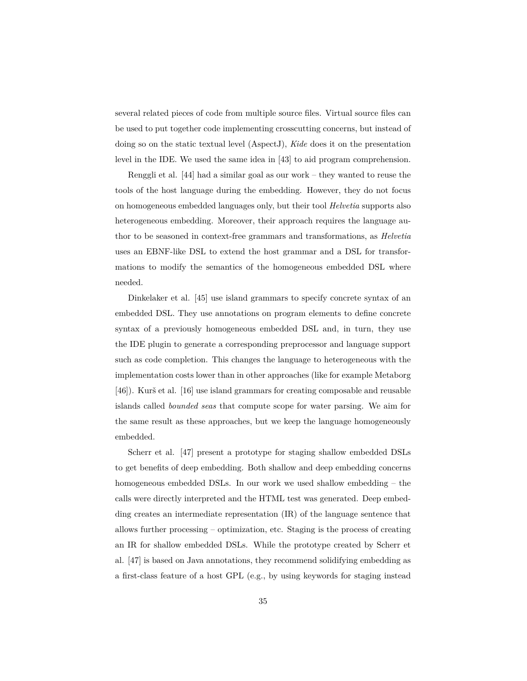several related pieces of code from multiple source files. Virtual source files can be used to put together code implementing crosscutting concerns, but instead of doing so on the static textual level (AspectJ), *Kide* does it on the presentation level in the IDE. We used the same idea in [\[43\]](#page-42-4) to aid program comprehension.

Renggli et al. [\[44\]](#page-42-5) had a similar goal as our work – they wanted to reuse the tools of the host language during the embedding. However, they do not focus on homogeneous embedded languages only, but their tool *Helvetia* supports also heterogeneous embedding. Moreover, their approach requires the language author to be seasoned in context-free grammars and transformations, as *Helvetia* uses an EBNF-like DSL to extend the host grammar and a DSL for transformations to modify the semantics of the homogeneous embedded DSL where needed.

Dinkelaker et al. [\[45\]](#page-43-0) use island grammars to specify concrete syntax of an embedded DSL. They use annotations on program elements to define concrete syntax of a previously homogeneous embedded DSL and, in turn, they use the IDE plugin to generate a corresponding preprocessor and language support such as code completion. This changes the language to heterogeneous with the implementation costs lower than in other approaches (like for example Metaborg [\[46\]](#page-43-1)). Kurš et al. [\[16\]](#page-39-0) use island grammars for creating composable and reusable islands called *bounded seas* that compute scope for water parsing. We aim for the same result as these approaches, but we keep the language homogeneously embedded.

Scherr et al. [\[47\]](#page-43-2) present a prototype for staging shallow embedded DSLs to get benefits of deep embedding. Both shallow and deep embedding concerns homogeneous embedded DSLs. In our work we used shallow embedding – the calls were directly interpreted and the HTML test was generated. Deep embedding creates an intermediate representation (IR) of the language sentence that allows further processing – optimization, etc. Staging is the process of creating an IR for shallow embedded DSLs. While the prototype created by Scherr et al. [\[47\]](#page-43-2) is based on Java annotations, they recommend solidifying embedding as a first-class feature of a host GPL (e.g., by using keywords for staging instead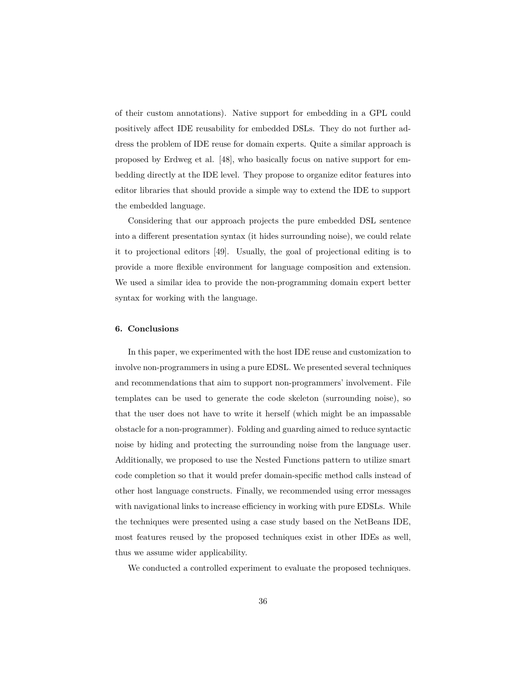of their custom annotations). Native support for embedding in a GPL could positively affect IDE reusability for embedded DSLs. They do not further address the problem of IDE reuse for domain experts. Quite a similar approach is proposed by Erdweg et al. [\[48\]](#page-43-3), who basically focus on native support for embedding directly at the IDE level. They propose to organize editor features into editor libraries that should provide a simple way to extend the IDE to support the embedded language.

Considering that our approach projects the pure embedded DSL sentence into a different presentation syntax (it hides surrounding noise), we could relate it to projectional editors [\[49\]](#page-43-4). Usually, the goal of projectional editing is to provide a more flexible environment for language composition and extension. We used a similar idea to provide the non-programming domain expert better syntax for working with the language.

#### **6. Conclusions**

In this paper, we experimented with the host IDE reuse and customization to involve non-programmers in using a pure EDSL. We presented several techniques and recommendations that aim to support non-programmers' involvement. File templates can be used to generate the code skeleton (surrounding noise), so that the user does not have to write it herself (which might be an impassable obstacle for a non-programmer). Folding and guarding aimed to reduce syntactic noise by hiding and protecting the surrounding noise from the language user. Additionally, we proposed to use the Nested Functions pattern to utilize smart code completion so that it would prefer domain-specific method calls instead of other host language constructs. Finally, we recommended using error messages with navigational links to increase efficiency in working with pure EDSLs. While the techniques were presented using a case study based on the NetBeans IDE, most features reused by the proposed techniques exist in other IDEs as well, thus we assume wider applicability.

We conducted a controlled experiment to evaluate the proposed techniques.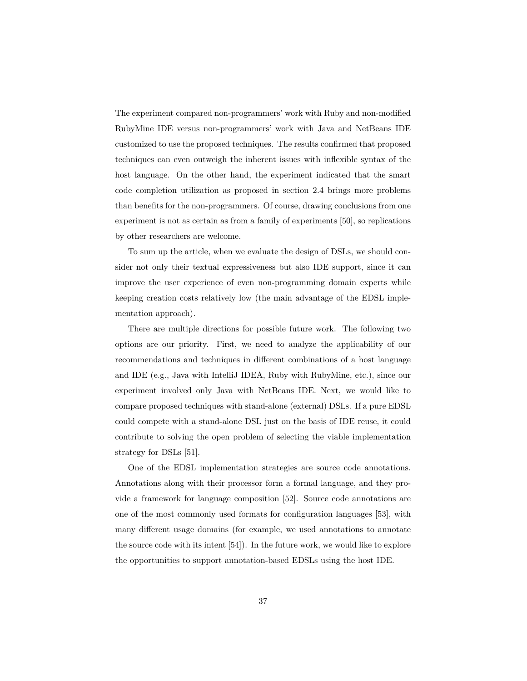The experiment compared non-programmers' work with Ruby and non-modified RubyMine IDE versus non-programmers' work with Java and NetBeans IDE customized to use the proposed techniques. The results confirmed that proposed techniques can even outweigh the inherent issues with inflexible syntax of the host language. On the other hand, the experiment indicated that the smart code completion utilization as proposed in section [2.4](#page-12-0) brings more problems than benefits for the non-programmers. Of course, drawing conclusions from one experiment is not as certain as from a family of experiments [\[50\]](#page-43-5), so replications by other researchers are welcome.

To sum up the article, when we evaluate the design of DSLs, we should consider not only their textual expressiveness but also IDE support, since it can improve the user experience of even non-programming domain experts while keeping creation costs relatively low (the main advantage of the EDSL implementation approach).

There are multiple directions for possible future work. The following two options are our priority. First, we need to analyze the applicability of our recommendations and techniques in different combinations of a host language and IDE (e.g., Java with IntelliJ IDEA, Ruby with RubyMine, etc.), since our experiment involved only Java with NetBeans IDE. Next, we would like to compare proposed techniques with stand-alone (external) DSLs. If a pure EDSL could compete with a stand-alone DSL just on the basis of IDE reuse, it could contribute to solving the open problem of selecting the viable implementation strategy for DSLs [\[51\]](#page-43-6).

One of the EDSL implementation strategies are source code annotations. Annotations along with their processor form a formal language, and they provide a framework for language composition [\[52\]](#page-44-0). Source code annotations are one of the most commonly used formats for configuration languages [\[53\]](#page-44-1), with many different usage domains (for example, we used annotations to annotate the source code with its intent [\[54\]](#page-44-2)). In the future work, we would like to explore the opportunities to support annotation-based EDSLs using the host IDE.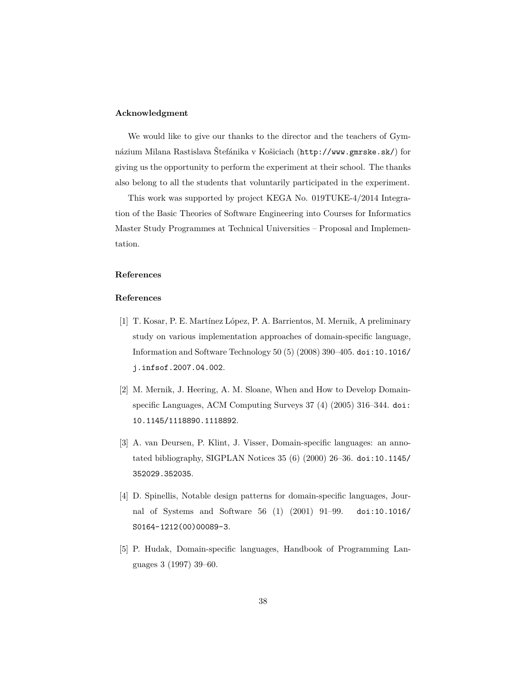## **Acknowledgment**

We would like to give our thanks to the director and the teachers of Gymnázium Milana Rastislava Štefánika v Košiciach (<http://www.gmrske.sk/>) for giving us the opportunity to perform the experiment at their school. The thanks also belong to all the students that voluntarily participated in the experiment.

This work was supported by project KEGA No. 019TUKE-4/2014 Integration of the Basic Theories of Software Engineering into Courses for Informatics Master Study Programmes at Technical Universities – Proposal and Implementation.

## **References**

## **References**

- <span id="page-37-0"></span>[1] T. Kosar, P. E. Martínez López, P. A. Barrientos, M. Mernik, A preliminary study on various implementation approaches of domain-specific language, Information and Software Technology 50 (5) (2008) 390–405. [doi:10.1016/](http://dx.doi.org/10.1016/j.infsof.2007.04.002) [j.infsof.2007.04.002](http://dx.doi.org/10.1016/j.infsof.2007.04.002).
- <span id="page-37-1"></span>[2] M. Mernik, J. Heering, A. M. Sloane, When and How to Develop Domainspecific Languages, ACM Computing Surveys 37 (4) (2005) 316–344. [doi:](http://dx.doi.org/10.1145/1118890.1118892) [10.1145/1118890.1118892](http://dx.doi.org/10.1145/1118890.1118892).
- <span id="page-37-2"></span>[3] A. van Deursen, P. Klint, J. Visser, Domain-specific languages: an annotated bibliography, SIGPLAN Notices 35 (6) (2000) 26–36. [doi:10.1145/](http://dx.doi.org/10.1145/352029.352035) [352029.352035](http://dx.doi.org/10.1145/352029.352035).
- <span id="page-37-3"></span>[4] D. Spinellis, Notable design patterns for domain-specific languages, Journal of Systems and Software 56 (1) (2001) 91–99. [doi:10.1016/](http://dx.doi.org/10.1016/S0164-1212(00)00089-3) [S0164-1212\(00\)00089-3](http://dx.doi.org/10.1016/S0164-1212(00)00089-3).
- <span id="page-37-4"></span>[5] P. Hudak, Domain-specific languages, Handbook of Programming Languages 3 (1997) 39–60.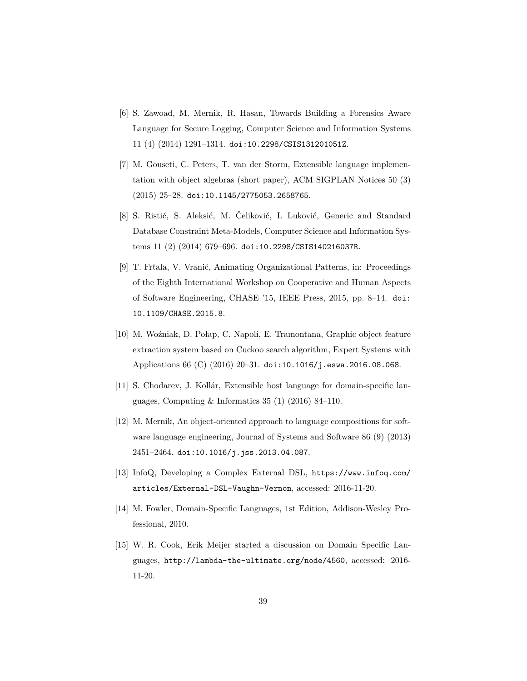- <span id="page-38-0"></span>[6] S. Zawoad, M. Mernik, R. Hasan, Towards Building a Forensics Aware Language for Secure Logging, Computer Science and Information Systems 11 (4) (2014) 1291–1314. [doi:10.2298/CSIS131201051Z](http://dx.doi.org/10.2298/CSIS131201051Z).
- <span id="page-38-1"></span>[7] M. Gouseti, C. Peters, T. van der Storm, Extensible language implementation with object algebras (short paper), ACM SIGPLAN Notices 50 (3) (2015) 25–28. [doi:10.1145/2775053.2658765](http://dx.doi.org/10.1145/2775053.2658765).
- <span id="page-38-2"></span>[8] S. Ristić, S. Aleksić, M. Čeliković, I. Luković, Generic and Standard Database Constraint Meta-Models, Computer Science and Information Systems 11 (2) (2014) 679–696. [doi:10.2298/CSIS140216037R](http://dx.doi.org/10.2298/CSIS140216037R).
- <span id="page-38-3"></span>[9] T. Frťala, V. Vranić, Animating Organizational Patterns, in: Proceedings of the Eighth International Workshop on Cooperative and Human Aspects of Software Engineering, CHASE '15, IEEE Press, 2015, pp. 8–14. [doi:](http://dx.doi.org/10.1109/CHASE.2015.8) [10.1109/CHASE.2015.8](http://dx.doi.org/10.1109/CHASE.2015.8).
- <span id="page-38-4"></span>[10] M. Woźniak, D. Połap, C. Napoli, E. Tramontana, Graphic object feature extraction system based on Cuckoo search algorithm, Expert Systems with Applications 66 (C) (2016) 20–31. [doi:10.1016/j.eswa.2016.08.068](http://dx.doi.org/10.1016/j.eswa.2016.08.068).
- <span id="page-38-5"></span>[11] S. Chodarev, J. Kollár, Extensible host language for domain-specific languages, Computing & Informatics 35 (1) (2016) 84–110.
- <span id="page-38-9"></span>[12] M. Mernik, An object-oriented approach to language compositions for software language engineering, Journal of Systems and Software 86 (9) (2013) 2451–2464. [doi:10.1016/j.jss.2013.04.087](http://dx.doi.org/10.1016/j.jss.2013.04.087).
- <span id="page-38-6"></span>[13] InfoQ, Developing a Complex External DSL, [https://www.infoq.com/](https://www.infoq.com/articles/External-DSL-Vaughn-Vernon) [articles/External-DSL-Vaughn-Vernon](https://www.infoq.com/articles/External-DSL-Vaughn-Vernon), accessed: 2016-11-20.
- <span id="page-38-7"></span>[14] M. Fowler, Domain-Specific Languages, 1st Edition, Addison-Wesley Professional, 2010.
- <span id="page-38-8"></span>[15] W. R. Cook, Erik Meijer started a discussion on Domain Specific Languages, <http://lambda-the-ultimate.org/node/4560>, accessed: 2016- 11-20.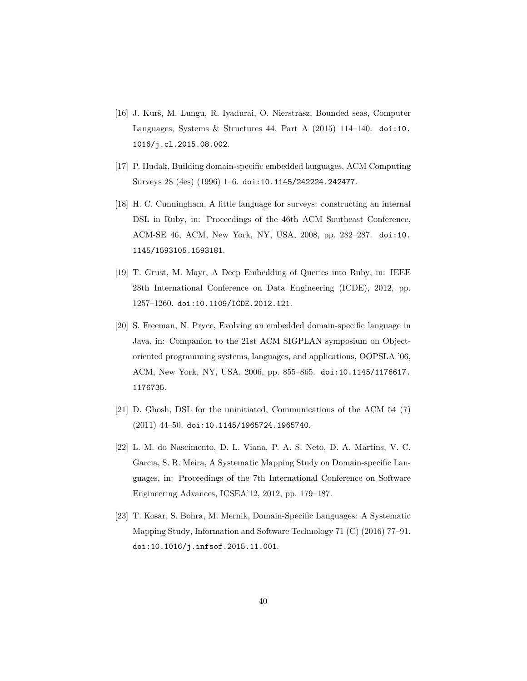- <span id="page-39-0"></span>[16] J. Kurš, M. Lungu, R. Iyadurai, O. Nierstrasz, Bounded seas, Computer Languages, Systems & Structures 44, Part A  $(2015)$  114–140. [doi:10.](http://dx.doi.org/10.1016/j.cl.2015.08.002) [1016/j.cl.2015.08.002](http://dx.doi.org/10.1016/j.cl.2015.08.002).
- <span id="page-39-1"></span>[17] P. Hudak, Building domain-specific embedded languages, ACM Computing Surveys 28 (4es) (1996) 1–6. [doi:10.1145/242224.242477](http://dx.doi.org/10.1145/242224.242477).
- <span id="page-39-2"></span>[18] H. C. Cunningham, A little language for surveys: constructing an internal DSL in Ruby, in: Proceedings of the 46th ACM Southeast Conference, ACM-SE 46, ACM, New York, NY, USA, 2008, pp. 282–287. [doi:10.](http://dx.doi.org/10.1145/1593105.1593181) [1145/1593105.1593181](http://dx.doi.org/10.1145/1593105.1593181).
- <span id="page-39-3"></span>[19] T. Grust, M. Mayr, A Deep Embedding of Queries into Ruby, in: IEEE 28th International Conference on Data Engineering (ICDE), 2012, pp. 1257–1260. [doi:10.1109/ICDE.2012.121](http://dx.doi.org/10.1109/ICDE.2012.121).
- <span id="page-39-4"></span>[20] S. Freeman, N. Pryce, Evolving an embedded domain-specific language in Java, in: Companion to the 21st ACM SIGPLAN symposium on Objectoriented programming systems, languages, and applications, OOPSLA '06, ACM, New York, NY, USA, 2006, pp. 855–865. [doi:10.1145/1176617.](http://dx.doi.org/10.1145/1176617.1176735) [1176735](http://dx.doi.org/10.1145/1176617.1176735).
- <span id="page-39-5"></span>[21] D. Ghosh, DSL for the uninitiated, Communications of the ACM 54 (7) (2011) 44–50. [doi:10.1145/1965724.1965740](http://dx.doi.org/10.1145/1965724.1965740).
- <span id="page-39-6"></span>[22] L. M. do Nascimento, D. L. Viana, P. A. S. Neto, D. A. Martins, V. C. Garcia, S. R. Meira, A Systematic Mapping Study on Domain-specific Languages, in: Proceedings of the 7th International Conference on Software Engineering Advances, ICSEA'12, 2012, pp. 179–187.
- <span id="page-39-7"></span>[23] T. Kosar, S. Bohra, M. Mernik, Domain-Specific Languages: A Systematic Mapping Study, Information and Software Technology 71 (C) (2016) 77–91. [doi:10.1016/j.infsof.2015.11.001](http://dx.doi.org/10.1016/j.infsof.2015.11.001).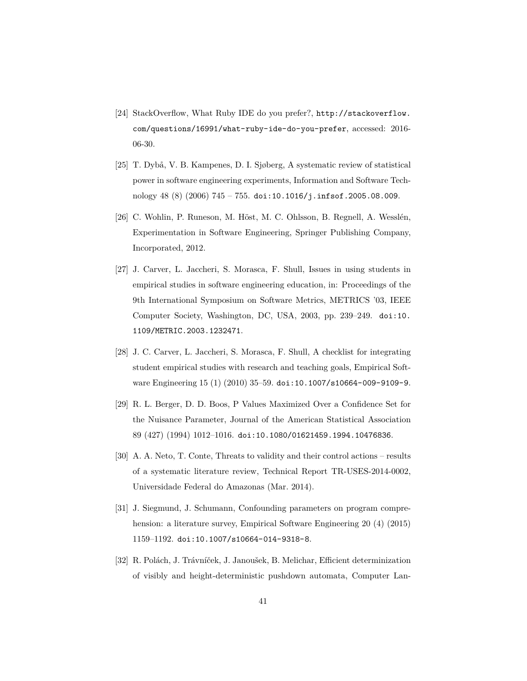- <span id="page-40-0"></span>[24] StackOverflow, What Ruby IDE do you prefer?, [http://stackoverflow.](http://stackoverflow.com/questions/16991/what-ruby-ide-do-you-prefer) [com/questions/16991/what-ruby-ide-do-you-prefer](http://stackoverflow.com/questions/16991/what-ruby-ide-do-you-prefer), accessed: 2016- 06-30.
- <span id="page-40-1"></span>[25] T. Dybå, V. B. Kampenes, D. I. Sjøberg, A systematic review of statistical power in software engineering experiments, Information and Software Technology 48 (8) (2006) 745 - 755. [doi:10.1016/j.infsof.2005.08.009](http://dx.doi.org/10.1016/j.infsof.2005.08.009).
- <span id="page-40-2"></span>[26] C. Wohlin, P. Runeson, M. Höst, M. C. Ohlsson, B. Regnell, A. Wesslén, Experimentation in Software Engineering, Springer Publishing Company, Incorporated, 2012.
- <span id="page-40-3"></span>[27] J. Carver, L. Jaccheri, S. Morasca, F. Shull, Issues in using students in empirical studies in software engineering education, in: Proceedings of the 9th International Symposium on Software Metrics, METRICS '03, IEEE Computer Society, Washington, DC, USA, 2003, pp. 239–249. [doi:10.](http://dx.doi.org/10.1109/METRIC.2003.1232471) [1109/METRIC.2003.1232471](http://dx.doi.org/10.1109/METRIC.2003.1232471).
- <span id="page-40-4"></span>[28] J. C. Carver, L. Jaccheri, S. Morasca, F. Shull, A checklist for integrating student empirical studies with research and teaching goals, Empirical Software Engineering 15 (1) (2010) 35–59. [doi:10.1007/s10664-009-9109-9](http://dx.doi.org/10.1007/s10664-009-9109-9).
- <span id="page-40-5"></span>[29] R. L. Berger, D. D. Boos, P Values Maximized Over a Confidence Set for the Nuisance Parameter, Journal of the American Statistical Association 89 (427) (1994) 1012–1016. [doi:10.1080/01621459.1994.10476836](http://dx.doi.org/10.1080/01621459.1994.10476836).
- <span id="page-40-6"></span>[30] A. A. Neto, T. Conte, Threats to validity and their control actions – results of a systematic literature review, Technical Report TR-USES-2014-0002, Universidade Federal do Amazonas (Mar. 2014).
- <span id="page-40-7"></span>[31] J. Siegmund, J. Schumann, Confounding parameters on program comprehension: a literature survey, Empirical Software Engineering 20 (4) (2015) 1159–1192. [doi:10.1007/s10664-014-9318-8](http://dx.doi.org/10.1007/s10664-014-9318-8).
- <span id="page-40-8"></span>[32] R. Polách, J. Trávníček, J. Janoušek, B. Melichar, Efficient determinization of visibly and height-deterministic pushdown automata, Computer Lan-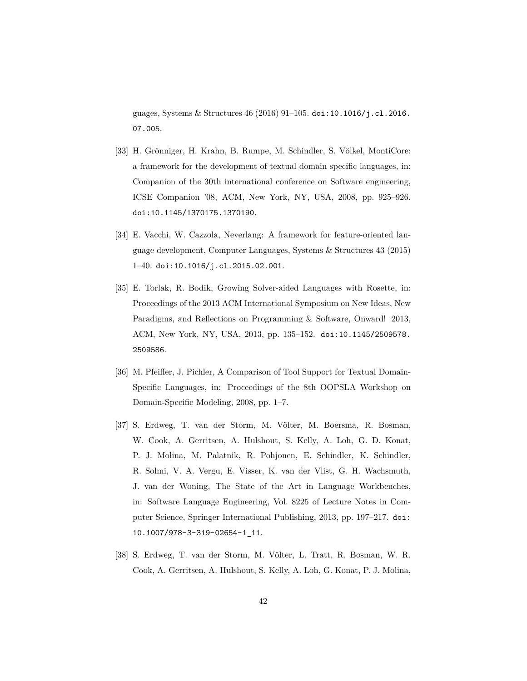guages, Systems & Structures 46 (2016) 91–105. [doi:10.1016/j.cl.2016.](http://dx.doi.org/10.1016/j.cl.2016.07.005) [07.005](http://dx.doi.org/10.1016/j.cl.2016.07.005).

- <span id="page-41-0"></span>[33] H. Grönniger, H. Krahn, B. Rumpe, M. Schindler, S. Völkel, MontiCore: a framework for the development of textual domain specific languages, in: Companion of the 30th international conference on Software engineering, ICSE Companion '08, ACM, New York, NY, USA, 2008, pp. 925–926. [doi:10.1145/1370175.1370190](http://dx.doi.org/10.1145/1370175.1370190).
- <span id="page-41-1"></span>[34] E. Vacchi, W. Cazzola, Neverlang: A framework for feature-oriented language development, Computer Languages, Systems & Structures 43 (2015) 1–40. [doi:10.1016/j.cl.2015.02.001](http://dx.doi.org/10.1016/j.cl.2015.02.001).
- <span id="page-41-2"></span>[35] E. Torlak, R. Bodik, Growing Solver-aided Languages with Rosette, in: Proceedings of the 2013 ACM International Symposium on New Ideas, New Paradigms, and Reflections on Programming & Software, Onward! 2013, ACM, New York, NY, USA, 2013, pp. 135–152. [doi:10.1145/2509578.](http://dx.doi.org/10.1145/2509578.2509586) [2509586](http://dx.doi.org/10.1145/2509578.2509586).
- <span id="page-41-3"></span>[36] M. Pfeiffer, J. Pichler, A Comparison of Tool Support for Textual Domain-Specific Languages, in: Proceedings of the 8th OOPSLA Workshop on Domain-Specific Modeling, 2008, pp. 1–7.
- <span id="page-41-4"></span>[37] S. Erdweg, T. van der Storm, M. Völter, M. Boersma, R. Bosman, W. Cook, A. Gerritsen, A. Hulshout, S. Kelly, A. Loh, G. D. Konat, P. J. Molina, M. Palatnik, R. Pohjonen, E. Schindler, K. Schindler, R. Solmi, V. A. Vergu, E. Visser, K. van der Vlist, G. H. Wachsmuth, J. van der Woning, The State of the Art in Language Workbenches, in: Software Language Engineering, Vol. 8225 of Lecture Notes in Computer Science, Springer International Publishing, 2013, pp. 197–217. [doi:](http://dx.doi.org/10.1007/978-3-319-02654-1_11) [10.1007/978-3-319-02654-1\\_11](http://dx.doi.org/10.1007/978-3-319-02654-1_11).
- <span id="page-41-5"></span>[38] S. Erdweg, T. van der Storm, M. Völter, L. Tratt, R. Bosman, W. R. Cook, A. Gerritsen, A. Hulshout, S. Kelly, A. Loh, G. Konat, P. J. Molina,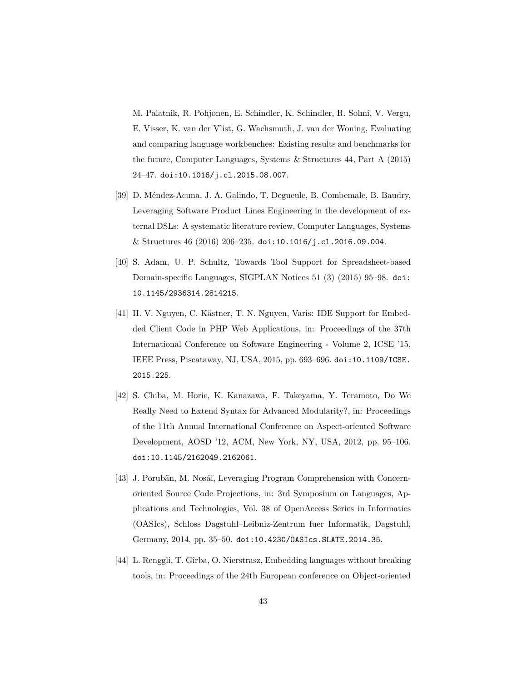M. Palatnik, R. Pohjonen, E. Schindler, K. Schindler, R. Solmi, V. Vergu, E. Visser, K. van der Vlist, G. Wachsmuth, J. van der Woning, Evaluating and comparing language workbenches: Existing results and benchmarks for the future, Computer Languages, Systems & Structures 44, Part A (2015) 24–47. [doi:10.1016/j.cl.2015.08.007](http://dx.doi.org/10.1016/j.cl.2015.08.007).

- <span id="page-42-0"></span>[39] D. Méndez-Acuna, J. A. Galindo, T. Degueule, B. Combemale, B. Baudry, Leveraging Software Product Lines Engineering in the development of external DSLs: A systematic literature review, Computer Languages, Systems & Structures 46 (2016) 206–235. [doi:10.1016/j.cl.2016.09.004](http://dx.doi.org/10.1016/j.cl.2016.09.004).
- <span id="page-42-1"></span>[40] S. Adam, U. P. Schultz, Towards Tool Support for Spreadsheet-based Domain-specific Languages, SIGPLAN Notices 51 (3) (2015) 95–98. [doi:](http://dx.doi.org/10.1145/2936314.2814215) [10.1145/2936314.2814215](http://dx.doi.org/10.1145/2936314.2814215).
- <span id="page-42-2"></span>[41] H. V. Nguyen, C. Kästner, T. N. Nguyen, Varis: IDE Support for Embedded Client Code in PHP Web Applications, in: Proceedings of the 37th International Conference on Software Engineering - Volume 2, ICSE '15, IEEE Press, Piscataway, NJ, USA, 2015, pp. 693–696. [doi:10.1109/ICSE.](http://dx.doi.org/10.1109/ICSE.2015.225) [2015.225](http://dx.doi.org/10.1109/ICSE.2015.225).
- <span id="page-42-3"></span>[42] S. Chiba, M. Horie, K. Kanazawa, F. Takeyama, Y. Teramoto, Do We Really Need to Extend Syntax for Advanced Modularity?, in: Proceedings of the 11th Annual International Conference on Aspect-oriented Software Development, AOSD '12, ACM, New York, NY, USA, 2012, pp. 95–106. [doi:10.1145/2162049.2162061](http://dx.doi.org/10.1145/2162049.2162061).
- <span id="page-42-4"></span>[43] J. Porubän, M. Nosáľ, Leveraging Program Comprehension with Concernoriented Source Code Projections, in: 3rd Symposium on Languages, Applications and Technologies, Vol. 38 of OpenAccess Series in Informatics (OASIcs), Schloss Dagstuhl–Leibniz-Zentrum fuer Informatik, Dagstuhl, Germany, 2014, pp. 35–50. [doi:10.4230/OASIcs.SLATE.2014.35](http://dx.doi.org/10.4230/OASIcs.SLATE.2014.35).
- <span id="page-42-5"></span>[44] L. Renggli, T. Gîrba, O. Nierstrasz, Embedding languages without breaking tools, in: Proceedings of the 24th European conference on Object-oriented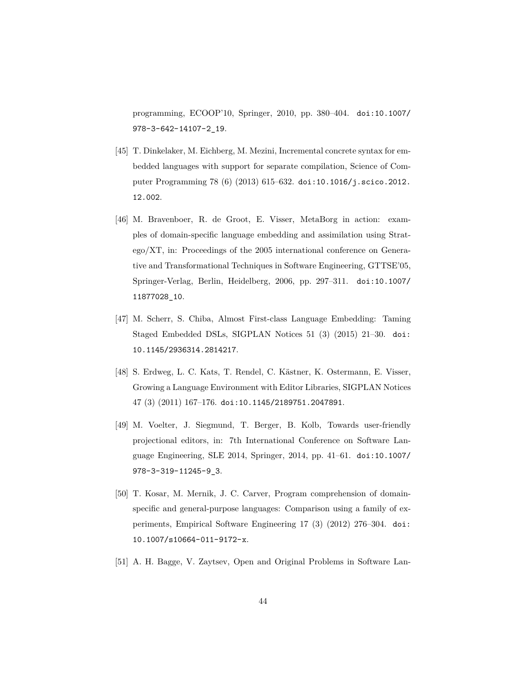programming, ECOOP'10, Springer, 2010, pp. 380–404. [doi:10.1007/](http://dx.doi.org/10.1007/978-3-642-14107-2_19) [978-3-642-14107-2\\_19](http://dx.doi.org/10.1007/978-3-642-14107-2_19).

- <span id="page-43-0"></span>[45] T. Dinkelaker, M. Eichberg, M. Mezini, Incremental concrete syntax for embedded languages with support for separate compilation, Science of Computer Programming 78 (6) (2013) 615–632. [doi:10.1016/j.scico.2012.](http://dx.doi.org/10.1016/j.scico.2012.12.002) [12.002](http://dx.doi.org/10.1016/j.scico.2012.12.002).
- <span id="page-43-1"></span>[46] M. Bravenboer, R. de Groot, E. Visser, MetaBorg in action: examples of domain-specific language embedding and assimilation using Stratego/XT, in: Proceedings of the 2005 international conference on Generative and Transformational Techniques in Software Engineering, GTTSE'05, Springer-Verlag, Berlin, Heidelberg, 2006, pp. 297–311. [doi:10.1007/](http://dx.doi.org/10.1007/11877028_10) [11877028\\_10](http://dx.doi.org/10.1007/11877028_10).
- <span id="page-43-2"></span>[47] M. Scherr, S. Chiba, Almost First-class Language Embedding: Taming Staged Embedded DSLs, SIGPLAN Notices 51 (3) (2015) 21–30. [doi:](http://dx.doi.org/10.1145/2936314.2814217) [10.1145/2936314.2814217](http://dx.doi.org/10.1145/2936314.2814217).
- <span id="page-43-3"></span>[48] S. Erdweg, L. C. Kats, T. Rendel, C. Kästner, K. Ostermann, E. Visser, Growing a Language Environment with Editor Libraries, SIGPLAN Notices 47 (3) (2011) 167–176. [doi:10.1145/2189751.2047891](http://dx.doi.org/10.1145/2189751.2047891).
- <span id="page-43-4"></span>[49] M. Voelter, J. Siegmund, T. Berger, B. Kolb, Towards user-friendly projectional editors, in: 7th International Conference on Software Language Engineering, SLE 2014, Springer, 2014, pp. 41–61. [doi:10.1007/](http://dx.doi.org/10.1007/978-3-319-11245-9_3) [978-3-319-11245-9\\_3](http://dx.doi.org/10.1007/978-3-319-11245-9_3).
- <span id="page-43-5"></span>[50] T. Kosar, M. Mernik, J. C. Carver, Program comprehension of domainspecific and general-purpose languages: Comparison using a family of experiments, Empirical Software Engineering 17 (3) (2012) 276–304. [doi:](http://dx.doi.org/10.1007/s10664-011-9172-x) [10.1007/s10664-011-9172-x](http://dx.doi.org/10.1007/s10664-011-9172-x).
- <span id="page-43-6"></span>[51] A. H. Bagge, V. Zaytsev, Open and Original Problems in Software Lan-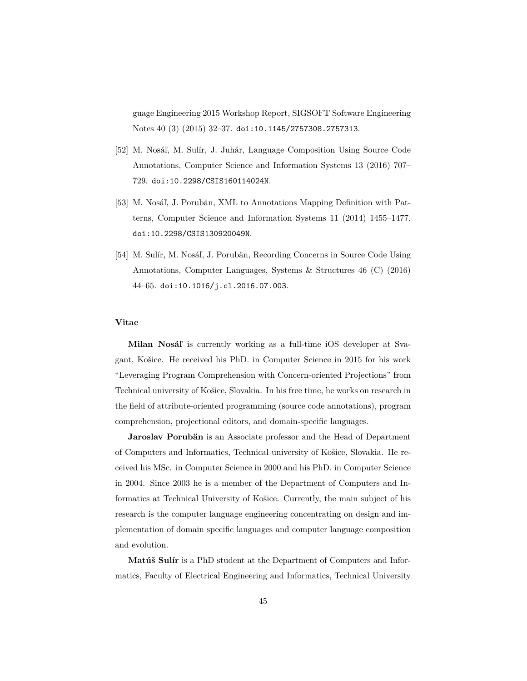guage Engineering 2015 Workshop Report, SIGSOFT Software Engineering Notes 40 (3) (2015) 32–37. [doi:10.1145/2757308.2757313](http://dx.doi.org/10.1145/2757308.2757313).

- <span id="page-44-0"></span>[52] M. Nosáľ, M. Sulír, J. Juhár, Language Composition Using Source Code Annotations, Computer Science and Information Systems 13 (2016) 707– 729. [doi:10.2298/CSIS160114024N](http://dx.doi.org/10.2298/CSIS160114024N).
- <span id="page-44-1"></span>[53] M. Nosáľ, J. Porubän, XML to Annotations Mapping Definition with Patterns, Computer Science and Information Systems 11 (2014) 1455–1477. [doi:10.2298/CSIS130920049N](http://dx.doi.org/10.2298/CSIS130920049N).
- <span id="page-44-2"></span>[54] M. Sulír, M. Nosáľ, J. Porubän, Recording Concerns in Source Code Using Annotations, Computer Languages, Systems & Structures 46 (C) (2016) 44–65. [doi:10.1016/j.cl.2016.07.003](http://dx.doi.org/10.1016/j.cl.2016.07.003).

## **Vitae**

**Milan Nosáľ** is currently working as a full-time iOS developer at Svagant, Košice. He received his PhD. in Computer Science in 2015 for his work "Leveraging Program Comprehension with Concern-oriented Projections" from Technical university of Košice, Slovakia. In his free time, he works on research in the field of attribute-oriented programming (source code annotations), program comprehension, projectional editors, and domain-specific languages.

**Jaroslav Porubän** is an Associate professor and the Head of Department of Computers and Informatics, Technical university of Košice, Slovakia. He received his MSc. in Computer Science in 2000 and his PhD. in Computer Science in 2004. Since 2003 he is a member of the Department of Computers and Informatics at Technical University of Košice. Currently, the main subject of his research is the computer language engineering concentrating on design and implementation of domain specific languages and computer language composition and evolution.

**Matúš Sulír** is a PhD student at the Department of Computers and Informatics, Faculty of Electrical Engineering and Informatics, Technical University